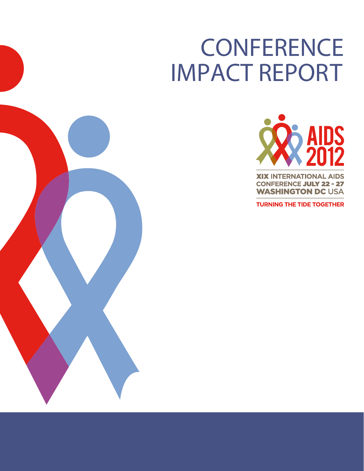# **CONFERENCE** IMPACT REPORT





**TURNING THE TIDE TOGETHER**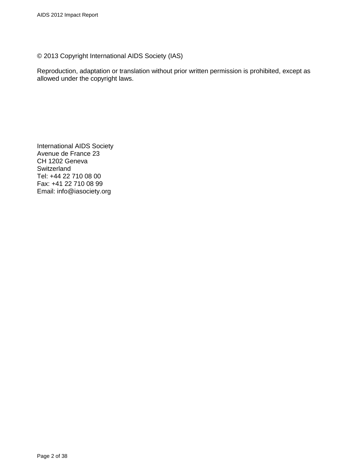© 2013 Copyright International AIDS Society (IAS)

Reproduction, adaptation or translation without prior written permission is prohibited, except as allowed under the copyright laws.

International AIDS Society Avenue de France 23 CH 1202 Geneva **Switzerland** Tel: +44 22 710 08 00 Fax: +41 22 710 08 99 Email: info@iasociety.org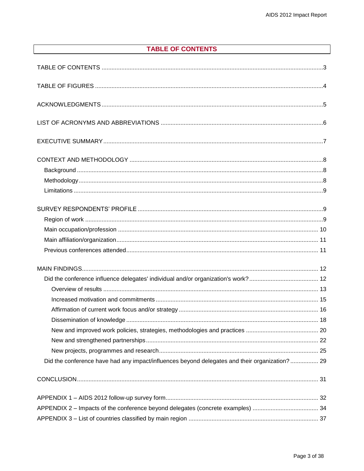## **TABLE OF CONTENTS**

<span id="page-2-0"></span>

| Did the conference have had any impact/influences beyond delegates and their organization? 29 |  |
|-----------------------------------------------------------------------------------------------|--|
|                                                                                               |  |
|                                                                                               |  |
|                                                                                               |  |
|                                                                                               |  |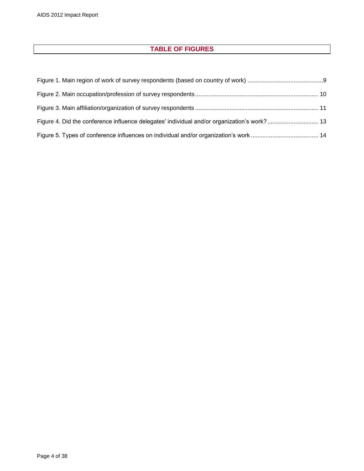## **TABLE OF FIGURES**

<span id="page-3-0"></span>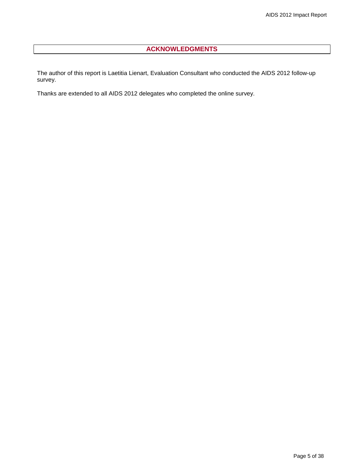## **ACKNOWLEDGMENTS**

<span id="page-4-0"></span>The author of this report is Laetitia Lienart, Evaluation Consultant who conducted the AIDS 2012 follow-up survey.

Thanks are extended to all AIDS 2012 delegates who completed the online survey.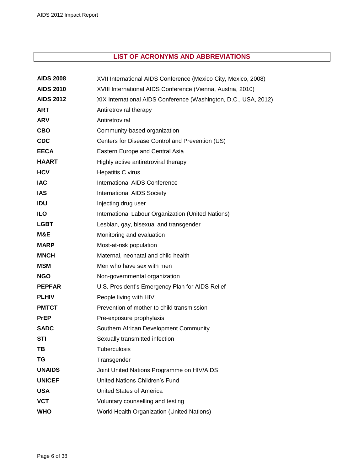## **LIST OF ACRONYMS AND ABBREVIATIONS**

<span id="page-5-0"></span>

| <b>AIDS 2008</b> | XVII International AIDS Conference (Mexico City, Mexico, 2008)  |
|------------------|-----------------------------------------------------------------|
| <b>AIDS 2010</b> | XVIII International AIDS Conference (Vienna, Austria, 2010)     |
| <b>AIDS 2012</b> | XIX International AIDS Conference (Washington, D.C., USA, 2012) |
| <b>ART</b>       | Antiretroviral therapy                                          |
| <b>ARV</b>       | Antiretroviral                                                  |
| <b>CBO</b>       | Community-based organization                                    |
| <b>CDC</b>       | Centers for Disease Control and Prevention (US)                 |
| <b>EECA</b>      | Eastern Europe and Central Asia                                 |
| <b>HAART</b>     | Highly active antiretroviral therapy                            |
| <b>HCV</b>       | Hepatitis C virus                                               |
| <b>IAC</b>       | International AIDS Conference                                   |
| <b>IAS</b>       | <b>International AIDS Society</b>                               |
| <b>IDU</b>       | Injecting drug user                                             |
| <b>ILO</b>       | International Labour Organization (United Nations)              |
| <b>LGBT</b>      | Lesbian, gay, bisexual and transgender                          |
| M&E              | Monitoring and evaluation                                       |
| <b>MARP</b>      | Most-at-risk population                                         |
| <b>MNCH</b>      | Maternal, neonatal and child health                             |
| <b>MSM</b>       | Men who have sex with men                                       |
| <b>NGO</b>       | Non-governmental organization                                   |
| <b>PEPFAR</b>    | U.S. President's Emergency Plan for AIDS Relief                 |
| <b>PLHIV</b>     | People living with HIV                                          |
| <b>PMTCT</b>     | Prevention of mother to child transmission                      |
| <b>PrEP</b>      | Pre-exposure prophylaxis                                        |
| <b>SADC</b>      | Southern African Development Community                          |
| STI              | Sexually transmitted infection                                  |
| TВ               | Tuberculosis                                                    |
| ΤG               | Transgender                                                     |
| <b>UNAIDS</b>    | Joint United Nations Programme on HIV/AIDS                      |
| <b>UNICEF</b>    | United Nations Children's Fund                                  |
| <b>USA</b>       | <b>United States of America</b>                                 |
| <b>VCT</b>       | Voluntary counselling and testing                               |
| <b>WHO</b>       | World Health Organization (United Nations)                      |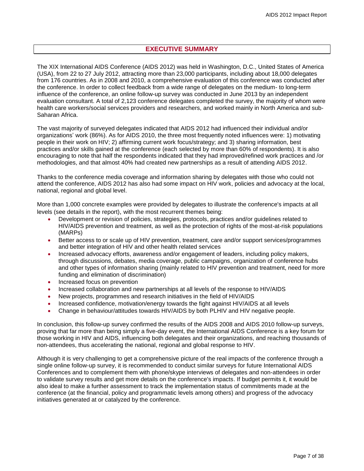## **EXECUTIVE SUMMARY**

<span id="page-6-0"></span>The XIX International AIDS Conference (AIDS 2012) was held in Washington, D.C., United States of America (USA), from 22 to 27 July 2012, attracting more than 23,000 participants, including about 18,000 delegates from 176 countries. As in 2008 and 2010, a comprehensive evaluation of this conference was conducted after the conference. In order to collect feedback from a wide range of delegates on the medium- to long-term influence of the conference, an online follow-up survey was conducted in June 2013 by an independent evaluation consultant. A total of 2,123 conference delegates completed the survey, the majority of whom were health care workers/social services providers and researchers, and worked mainly in North America and sub-Saharan Africa.

The vast majority of surveyed delegates indicated that AIDS 2012 had influenced their individual and/or organizations' work (86%). As for AIDS 2010, the three most frequently noted influences were: 1) motivating people in their work on HIV; 2) affirming current work focus/strategy; and 3) sharing information, best practices and/or skills gained at the conference (each selected by more than 60% of respondents). It is also encouraging to note that half the respondents indicated that they had improved/refined work practices and /or methodologies, and that almost 40% had created new partnerships as a result of attending AIDS 2012.

Thanks to the conference media coverage and information sharing by delegates with those who could not attend the conference, AIDS 2012 has also had some impact on HIV work, policies and advocacy at the local, national, regional and global level.

More than 1,000 concrete examples were provided by delegates to illustrate the conference's impacts at all levels (see details in the report), with the most recurrent themes being:

- Development or revision of policies, strategies, protocols, practices and/or guidelines related to HIV/AIDS prevention and treatment, as well as the protection of rights of the most-at-risk populations (MARPs)
- Better access to or scale up of HIV prevention, treatment, care and/or support services/programmes and better integration of HIV and other health related services
- Increased advocacy efforts, awareness and/or engagement of leaders, including policy makers, through discussions, debates, media coverage, public campaigns, organization of conference hubs and other types of information sharing (mainly related to HIV prevention and treatment, need for more funding and elimination of discrimination)
- Increased focus on prevention
- Increased collaboration and new partnerships at all levels of the response to HIV/AIDS
- New projects, programmes and research initiatives in the field of HIV/AIDS
- Increased confidence, motivation/energy towards the fight against HIV/AIDS at all levels
- Change in behaviour/attitudes towards HIV/AIDS by both PLHIV and HIV negative people.

In conclusion, this follow-up survey confirmed the results of the AIDS 2008 and AIDS 2010 follow-up surveys, proving that far more than being simply a five-day event, the International AIDS Conference is a key forum for those working in HIV and AIDS, influencing both delegates and their organizations, and reaching thousands of non-attendees, thus accelerating the national, regional and global response to HIV.

Although it is very challenging to get a comprehensive picture of the real impacts of the conference through a single online follow-up survey, it is recommended to conduct similar surveys for future International AIDS Conferences and to complement them with phone/skype interviews of delegates and non-attendees in order to validate survey results and get more details on the conference's impacts. If budget permits it, it would be also ideal to make a further assessment to track the implementation status of commitments made at the conference (at the financial, policy and programmatic levels among others) and progress of the advocacy initiatives generated at or catalyzed by the conference.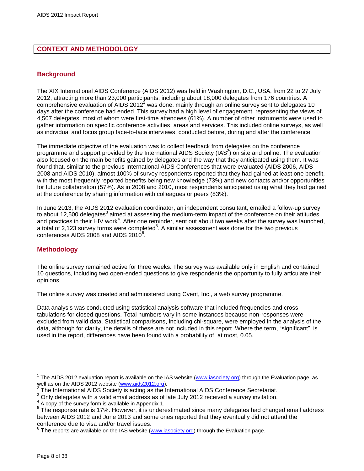## <span id="page-7-0"></span>**CONTEXT AND METHODOLOGY**

#### <span id="page-7-1"></span>**Background**

The XIX International AIDS Conference (AIDS 2012) was held in Washington, D.C., USA, from 22 to 27 July 2012, attracting more than 23,000 participants, including about 18,000 delegates from 176 countries. A comprehensive evaluation of AIDS 2012<sup>1</sup> was done, mainly through an online survey sent to delegates 10 days after the conference had ended. This survey had a high level of engagement, representing the views of 4,507 delegates, most of whom were first-time attendees (61%). A number of other instruments were used to gather information on specific conference activities, areas and services. This included online surveys, as well as individual and focus group face-to-face interviews, conducted before, during and after the conference.

The immediate objective of the evaluation was to collect feedback from delegates on the conference programme and support provided by the International AIDS Society (IAS<sup>2</sup>) on site and online. The evaluation also focused on the main benefits gained by delegates and the way that they anticipated using them. It was found that, similar to the previous International AIDS Conferences that were evaluated (AIDS 2006, AIDS 2008 and AIDS 2010), almost 100% of survey respondents reported that they had gained at least one benefit, with the most frequently reported benefits being new knowledge (73%) and new contacts and/or opportunities for future collaboration (57%). As in 2008 and 2010, most respondents anticipated using what they had gained at the conference by sharing information with colleagues or peers (83%).

In June 2013, the AIDS 2012 evaluation coordinator, an independent consultant, emailed a follow-up survey to about 12,500 delegates<sup>3</sup> aimed at assessing the medium-term impact of the conference on their attitudes and practices in their HIV work<sup>4</sup>. After one reminder, sent out about two weeks after the survey was launched, a total of 2,123 survey forms were completed $5$ . A similar assessment was done for the two previous conferences AIDS 2008 and AIDS 2010 $^6$ .

#### <span id="page-7-2"></span>**Methodology**

The online survey remained active for three weeks. The survey was available only in English and contained 10 questions, including two open-ended questions to give respondents the opportunity to fully articulate their opinions.

The online survey was created and administered using [Cvent, Inc.,](http://www.cvent.com/) a web survey programme.

Data analysis was conducted using statistical analysis software that included frequencies and crosstabulations for closed questions. Total numbers vary in some instances because non-responses were excluded from valid data. Statistical comparisons, including chi-square, were employed in the analysis of the data, although for clarity, the details of these are not included in this report. Where the term, "significant", is used in the report, differences have been found with a probability of, at most, 0.05.

 $\overline{a}$ 

<sup>&</sup>lt;sup>1</sup> The AIDS 2012 evaluation report is available on the IAS website [\(www.iasociety.org\)](http://www.iasociety.org/) through the Evaluation page, as well as on the AIDS 2012 website [\(www.aids2012.org\)](../../../../../../../../../../../Documents%20and%20Settings/lli/Local%20Settings/Temporary%20Internet%20Files/OLKC/www.aids2010.org).<br><sup>2</sup> The International AIDS Seciety is esting as the li

The International AIDS Society is acting as the International AIDS Conference Secretariat.

 $3$  Only delegates with a valid email address as of late July 2012 received a survey invitation.

<sup>&</sup>lt;sup>4</sup> A copy of the survey form is available in Appendix 1.

<sup>&</sup>lt;sup>5</sup> The response rate is 17%. However, it is underestimated since many delegates had changed email address between AIDS 2012 and June 2013 and some ones reported that they eventually did not attend the conference due to visa and/or travel issues.

 $^6$  The reports are available on the IAS website [\(www.iasociety.org\)](http://www.iasociety.org/) through the Evaluation page.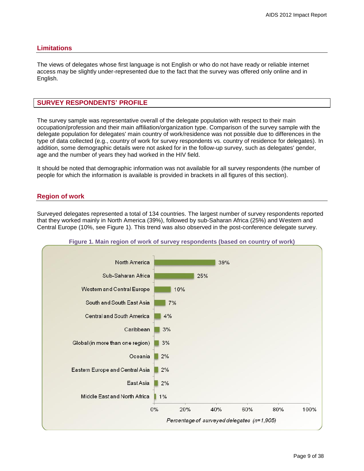#### <span id="page-8-0"></span>**Limitations**

The views of delegates whose first language is not English or who do not have ready or reliable internet access may be slightly under-represented due to the fact that the survey was offered only online and in English.

#### <span id="page-8-1"></span>**SURVEY RESPONDENTS' PROFILE**

The survey sample was representative overall of the delegate population with respect to their main occupation/profession and their main affiliation/organization type. Comparison of the survey sample with the delegate population for delegates' main country of work/residence was not possible due to differences in the type of data collected (e.g., country of work for survey respondents vs. country of residence for delegates). In addition, some demographic details were not asked for in the follow-up survey, such as delegates' gender, age and the number of years they had worked in the HIV field.

It should be noted that demographic information was not available for all survey respondents (the number of people for which the information is available is provided in brackets in all figures of this section).

#### <span id="page-8-2"></span>**Region of work**

Surveyed delegates represented a total of 134 countries. The largest number of survey respondents reported that they worked mainly in North America (39%), followed by sub-Saharan Africa (25%) and Western and Central Europe (10%, see Figure 1). This trend was also observed in the post-conference delegate survey.

<span id="page-8-3"></span>

#### **Figure 1. Main region of work of survey respondents (based on country of work)**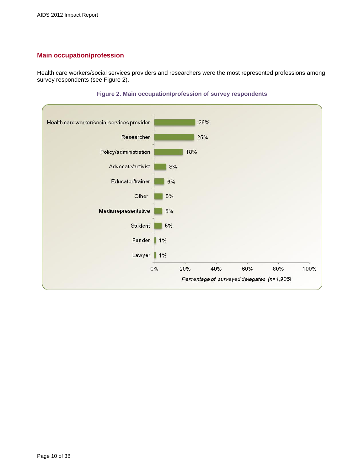## <span id="page-9-0"></span>**Main occupation/profession**

Health care workers/social services providers and researchers were the most represented professions among survey respondents (see Figure 2).

<span id="page-9-1"></span>

#### **Figure 2. Main occupation/profession of survey respondents**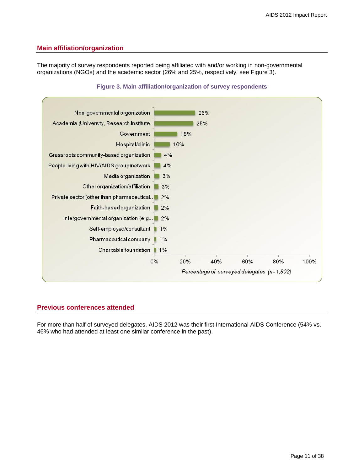#### <span id="page-10-0"></span>**Main affiliation/organization**

The majority of survey respondents reported being affiliated with and/or working in non-governmental organizations (NGOs) and the academic sector (26% and 25%, respectively, see Figure 3).

<span id="page-10-2"></span>

#### **Figure 3. Main affiliation/organization of survey respondents**

#### <span id="page-10-1"></span>**Previous conferences attended**

For more than half of surveyed delegates, AIDS 2012 was their first International AIDS Conference (54% vs. 46% who had attended at least one similar conference in the past).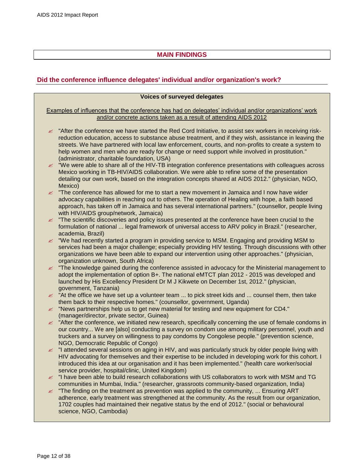## **MAIN FINDINGS**

## <span id="page-11-1"></span><span id="page-11-0"></span>**Did the conference influence delegates' individual and/or organization's work?**

#### **Voices of surveyed delegates**

#### Examples of influences that the conference has had on delegates' individual and/or organizations' work and/or concrete actions taken as a result of attending AIDS 2012

- $\approx$  "After the conference we have started the Red Cord Initiative, to assist sex workers in receiving riskreduction education, access to substance abuse treatment, and if they wish, assistance in leaving the streets. We have partnered with local law enforcement, courts, and non-profits to create a system to help women and men who are ready for change or need support while involved in prostitution." (administrator, charitable foundation, USA)
- $\approx$  "We were able to share all of the HIV-TB integration conference presentations with colleagues across Mexico working in TB-HIV/AIDS collaboration. We were able to refine some of the presentation detailing our own work, based on the integration concepts shared at AIDS 2012." (physician, NGO, Mexico)
- $\epsilon$  "The conference has allowed for me to start a new movement in Jamaica and I now have wider advocacy capabilities in reaching out to others. The operation of Healing with hope, a faith based approach, has taken off in Jamaica and has several international partners." (counsellor, people living with HIV/AIDS group/network, Jamaica)
- $\mathscr Z$  "The scientific discoveries and policy issues presented at the conference have been crucial to the formulation of national ... legal framework of universal access to ARV policy in Brazil." (researcher, academia, Brazil)
- $\approx$  "We had recently started a program in providing service to MSM. Engaging and providing MSM to services had been a major challenge; especially providing HIV testing. Through discussions with other organizations we have been able to expand our intervention using other approaches." (physician, organization unknown, South Africa)
- $\mathscr Z$  "The knowledge gained during the conference assisted in advocacy for the Ministerial management to adopt the implementation of option B+. The national eMTCT plan 2012 - 2015 was developed and launched by His Excellency President Dr M J Kikwete on December 1st, 2012." (physician, government, Tanzania)
- $\leq$  "At the office we have set up a volunteer team ... to pick street kids and ... counsel them, then take them back to their respective homes." (counsellor, government, Uganda)
- $\approx$  "News partnerships help us to get new material for testing and new equipment for CD4." (manager/director, private sector, Guinea)
- $\approx$  "After the conference, we initiated new research, specifically concerning the use of female condoms in our country... We are [also] conducting a survey on condom use among military personnel, youth and truckers and a survey on willingness to pay condoms by Congolese people." (prevention science, NGO, Democratic Republic of Congo)
- "I attended several sessions on aging in HIV, and was particularly struck by older people living with HIV advocating for themselves and their expertise to be included in developing work for this cohort. I introduced this idea at our organisation and it has been implemented." (health care worker/social service provider, hospital/clinic, United Kingdom)
- $\approx$  "I have been able to build research collaborations with US collaborators to work with MSM and TG communities in Mumbai, India." (researcher, grassroots community-based organization, India)
- $\ll$  "The finding on the treatment as prevention was applied to the community, ... Ensuring ART adherence, early treatment was strengthened at the community. As the result from our organization, 1702 couples had maintained their negative status by the end of 2012." (social or behavioural science, NGO, Cambodia)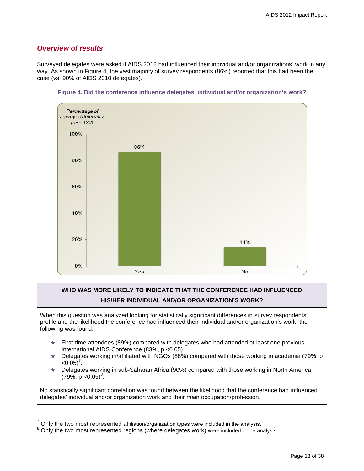## <span id="page-12-0"></span>*Overview of results*

 $\overline{a}$ 

Surveyed delegates were asked if AIDS 2012 had influenced their individual and/or organizations' work in any way. As shown in Figure 4, the vast majority of survey respondents (86%) reported that this had been the case (vs. 90% of AIDS 2010 delegates).

<span id="page-12-1"></span>

#### **Figure 4. Did the conference influence delegates' individual and/or organization's work?**

## **WHO WAS MORE LIKELY TO INDICATE THAT THE CONFERENCE HAD INFLUENCED HIS/HER INDIVIDUAL AND/OR ORGANIZATION'S WORK?**

When this question was analyzed looking for statistically significant differences in survey respondents' profile and the likelihood the conference had influenced their individual and/or organization's work, the following was found:

- First-time attendees (89%) compared with delegates who had attended at least one previous International AIDS Conference (83%, p <0.05)
- Delegates working in/affiliated with NGOs (88%) compared with those working in academia (79%, p  $<0.05$ <sup>7</sup>.
- Delegates working in sub-Saharan Africa (90%) compared with those working in North America  $(79\%, p < 0.05)^8$ .

No statistically significant correlation was found between the likelihood that the conference had influenced delegates' individual and/or organization work and their main occupation/profession.

<sup>7</sup> Only the two most represented affiliation/organization types were included in the analysis.

<sup>&</sup>lt;sup>8</sup> Only the two most represented regions (where delegates work) were included in the analysis.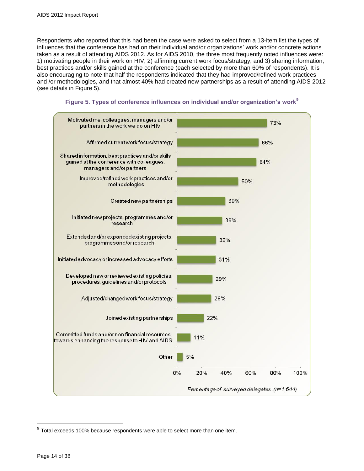Respondents who reported that this had been the case were asked to select from a 13-item list the types of influences that the conference has had on their individual and/or organizations' work and/or concrete actions taken as a result of attending AIDS 2012. As for AIDS 2010, the three most frequently noted influences were: 1) motivating people in their work on HIV; 2) affirming current work focus/strategy; and 3) sharing information, best practices and/or skills gained at the conference (each selected by more than 60% of respondents). It is also encouraging to note that half the respondents indicated that they had improved/refined work practices and /or methodologies, and that almost 40% had created new partnerships as a result of attending AIDS 2012 (see details in Figure 5).

<span id="page-13-0"></span>



 9 Total exceeds 100% because respondents were able to select more than one item.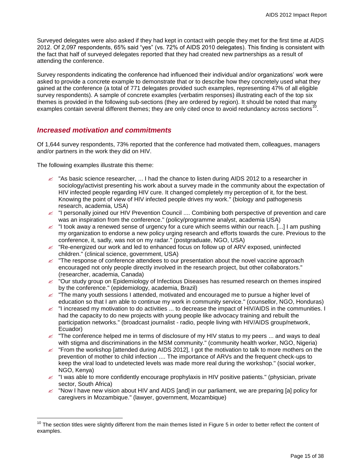Surveyed delegates were also asked if they had kept in contact with people they met for the first time at AIDS 2012. Of 2,097 respondents, 65% said "yes" (vs. 72% of AIDS 2010 delegates). This finding is consistent with the fact that half of surveyed delegates reported that they had created new partnerships as a result of attending the conference.

Survey respondents indicating the conference had influenced their individual and/or organizations' work were asked to provide a concrete example to demonstrate that or to describe how they concretely used what they gained at the conference (a total of 771 delegates provided such examples, representing 47% of all eligible survey respondents). A sample of concrete examples (verbatim responses) illustrating each of the top six themes is provided in the following sub-sections (they are ordered by region). It should be noted that many examples contain several different themes; they are only cited once to avoid redundancy across sections<sup>10</sup>.

## <span id="page-14-0"></span>*Increased motivation and commitments*

Of 1,644 survey respondents, 73% reported that the conference had motivated them, colleagues, managers and/or partners in the work they did on HIV.

The following examples illustrate this theme:

 $\overline{a}$ 

- $\approx$  "As basic science researcher, ... I had the chance to listen during AIDS 2012 to a researcher in sociology/activist presenting his work about a survey made in the community about the expectation of HIV infected people regarding HIV cure. It changed completely my perception of it, for the best. Knowing the point of view of HIV infected people drives my work." (biology and pathogenesis research, academia, USA)
- "I personally joined our HIV Prevention Council .... Combining both perspective of prevention and care was an inspiration from the conference." (policy/programme analyst, academia USA)
- $\leq$  "I took away a renewed sense of urgency for a cure which seems within our reach. [...] I am pushing my organization to endorse a new policy urging research and efforts towards the cure. Previous to the conference, it, sadly, was not on my radar." (postgraduate, NGO, USA)
- $\approx$  "Re-energized our work and led to enhanced focus on follow up of ARV exposed, uninfected children." (clinical science, government, USA)
- $\mathbb Z$  "The response of conference attendees to our presentation about the novel vaccine approach encouraged not only people directly involved in the research project, but other collaborators." (researcher, academia, Canada)
- $\mathscr Z$  "Our study group on Epidemiology of Infectious Diseases has resumed research on themes inspired by the conference." (epidemiology, academia, Brazil)
- $\leq$  "The many youth sessions I attended, motivated and encouraged me to pursue a higher level of education so that I am able to continue my work in community service." (counsellor, NGO, Honduras)
- $\le$  "I increased my motivation to do activities ... to decrease the impact of HIV/AIDS in the communities. I had the capacity to do new projects with young people like advocacy training and rebuilt the participation networks." (broadcast journalist - radio, people living with HIV/AIDS group/network, Ecuador)
- $\epsilon$  "The conference helped me in terms of disclosure of my HIV status to my peers ... and ways to deal with stigma and discriminations in the MSM community." (community health worker, NGO, Nigeria)
- $\leq$  "From the workshop [attended during AIDS 2012], I got the motivation to talk to more mothers on the prevention of mother to child infection .... The importance of ARVs and the frequent check-ups to keep the viral load to undetected levels was made more real during the workshop." (social worker, NGO, Kenya)
- $\approx$  "I was able to more confidently encourage prophylaxis in HIV positive patients." (physician, private sector, South Africa)
- $\ll$  "Now I have new vision about HIV and AIDS [and] in our parliament, we are preparing [a] policy for caregivers in Mozambique." (lawyer, government, Mozambique)

<sup>&</sup>lt;sup>10</sup> The section titles were slightly different from the main themes listed in Figure 5 in order to better reflect the content of examples.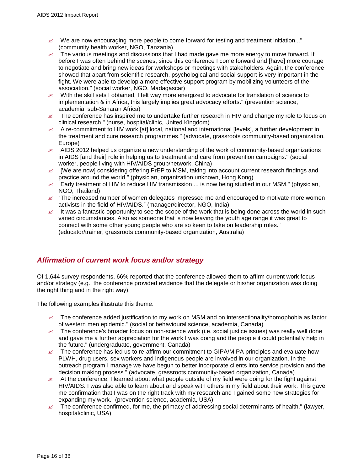- $\mathscr{\mathscr{L}}$  "We are now encouraging more people to come forward for testing and treatment initiation..." (community health worker, NGO, Tanzania)
- $\epsilon$  "The various meetings and discussions that I had made gave me more energy to move forward. If before I was often behind the scenes, since this conference I come forward and [have] more courage to negotiate and bring new ideas for workshops or meetings with stakeholders. Again, the conference showed that apart from scientific research, psychological and social support is very important in the fight. We were able to develop a more effective support program by mobilizing volunteers of the association." (social worker, NGO, Madagascar)
- $\ll$  "With the skill sets I obtained, I felt way more energized to advocate for translation of science to implementation & in Africa, this largely implies great advocacy efforts." (prevention science, academia, sub-Saharan Africa)
- $\approx$  "The conference has inspired me to undertake further research in HIV and change my role to focus on clinical research." (nurse, hospital/clinic, United Kingdom)
- $\le$  "A re-commitment to HIV work [at] local, national and international [levels], a further development in the treatment and cure research programmes." (advocate, grassroots community-based organization, Europe)
- $\approx$  "AIDS 2012 helped us organize a new understanding of the work of community-based organizations in AIDS [and their] role in helping us to treatment and care from prevention campaigns." (social worker, people living with HIV/AIDS group/network, China)
- $\ll$  "[We are now] considering offering PrEP to MSM, taking into account current research findings and practice around the world." (physician, organization unknown, Hong Kong)
- $\approx$  "Early treatment of HIV to reduce HIV transmission ... is now being studied in our MSM." (physician, NGO, Thailand)
- $\mathscr{\mathscr{L}}$  "The increased number of women delegates impressed me and encouraged to motivate more women activists in the field of HIV/AIDS." (manager/director, NGO, India)
- $\epsilon$  "It was a fantastic opportunity to see the scope of the work that is being done across the world in such varied circumstances. Also as someone that is now leaving the youth age range it was great to connect with some other young people who are so keen to take on leadership roles." (educator/trainer, grassroots community-based organization, Australia)

## <span id="page-15-0"></span>*Affirmation of current work focus and/or strategy*

Of 1,644 survey respondents, 66% reported that the conference allowed them to affirm current work focus and/or strategy (e.g., the conference provided evidence that the delegate or his/her organization was doing the right thing and in the right way).

- $\ll$  "The conference added justification to my work on MSM and on intersectionality/homophobia as factor of western men epidemic." (social or behavioural science, academia, Canada)
- $\leq$  "The conference's broader focus on non-science work (i.e. social justice issues) was really well done and gave me a further appreciation for the work I was doing and the people it could potentially help in the future." (undergraduate, government, Canada)
- $\approx$  "The conference has led us to re-affirm our commitment to GIPA/MIPA principles and evaluate how PLWH, drug users, sex workers and indigenous people are involved in our organization. In the outreach program I manage we have begun to better incorporate clients into service provision and the decision making process." (advocate, grassroots community-based organization, Canada)
- $\ll$  "At the conference, I learned about what people outside of my field were doing for the fight against HIV/AIDS. I was also able to learn about and speak with others in my field about their work. This gave me confirmation that I was on the right track with my research and I gained some new strategies for expanding my work." (prevention science, academia, USA)
- $\approx$  "The conference confirmed, for me, the primacy of addressing social determinants of health." (lawyer, hospital/clinic, USA)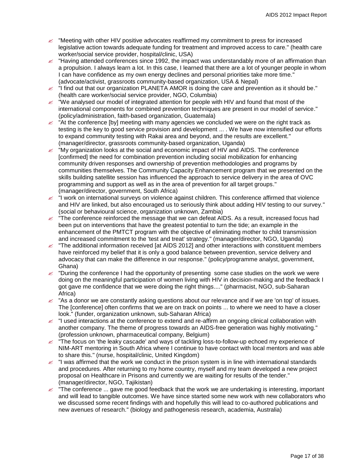- $\mathscr{\mathscr{L}}$  "Meeting with other HIV positive advocates reaffirmed my commitment to press for increased legislative action towards adequate funding for treatment and improved access to care." (health care worker/social service provider, hospital/clinic, USA)
- $\approx$  "Having attended conferences since 1992, the impact was understandably more of an affirmation than a propulsion. I always learn a lot. In this case, I learned that there are a lot of younger people in whom I can have confidence as my own energy declines and personal priorities take more time." (advocate/activist, grassroots community-based organization, USA & Nepal)
- $\leq$  "I find out that our organization PLANETA AMOR is doing the care and prevention as it should be." (health care worker/social service provider, NGO, Columbia)
- $\epsilon$  "We analysed our model of integrated attention for people with HIV and found that most of the international components for combined prevention techniques are present in our model of service." (policy/administration, faith-based organization, Guatemala)
- $\ll$  "At the conference [by] meeting with many agencies we concluded we were on the right track as testing is the key to good service provision and development ... . We have now intensified our efforts to expand community testing with Rakai area and beyond, and the results are excellent." (manager/director, grassroots community-based organization, Uganda)
- $\approx$  "My organization looks at the social and economic impact of HIV and AIDS. The conference [confirmed] the need for combination prevention including social mobilization for enhancing community driven responses and ownership of prevention methodologies and programs by communities themselves. The Community Capacity Enhancement program that we presented on the skills building satellite session has influenced the approach to service delivery in the area of OVC programming and support as well as in the area of prevention for all target groups." (manager/director, government, South Africa)
- $\epsilon$   $\dot{\phantom{\phi}}$  I work on international surveys on violence against children. This conference affirmed that violence and HIV are linked, but also encouraged us to seriously think about adding HIV testing to our survey." (social or behavioural science, organization unknown, Zambia)
- $\epsilon$  "The conference reinforced the message that we can defeat AIDS. As a result, increased focus had been put on interventions that have the greatest potential to turn the tide; an example in the enhancement of the PMTCT program with the objective of eliminating mother to child transmission and increased commitment to the 'test and treat' strategy." (manager/director, NGO, Uganda)
- $\le$  "The additional information received [at AIDS 2012] and other interactions with constituent members have reinforced my belief that it is only a good balance between prevention, service delivery and advocacy that can make the difference in our response." (policy/programme analyst, government, Ghana)
- $\approx$  "During the conference I had the opportunity of presenting some case studies on the work we were doing on the meaningful participation of women living with HIV in decision-making and the feedback I got gave me confidence that we were doing the right things...." (pharmacist, NGO, sub-Saharan Africa)
- $\mathscr Z$  "As a donor we are constantly asking questions about our relevance and if we are 'on top' of issues. The [conference] often confirms that we are on track on points ... to where we need to have a closer look." (funder, organization unknown, sub-Saharan Africa)
- $\approx$  "I used interactions at the conference to extend and re-affirm an ongoing clinical collaboration with another company. The theme of progress towards an AIDS-free generation was highly motivating." (profession unknown, pharmaceutical company, Belgium)
- $\ll$  "The focus on 'the leaky cascade' and ways of tackling loss-to-follow-up echoed my experience of NIM-ART mentoring in South Africa where I continue to have contact with local mentors and was able to share this." (nurse, hospital/clinic, United Kingdom)
- $\epsilon$  "I was affirmed that the work we conduct in the prison system is in line with international standards and procedures. After returning to my home country, myself and my team developed a new project proposal on Healthcare in Prisons and currently we are waiting for results of the tender." (manager/director, NGO, Tajikistan)
- $\mathbb{Z}$  "The conference ... gave me good feedback that the work we are undertaking is interesting, important and will lead to tangible outcomes. We have since started some new work with new collaborators who we discussed some recent findings with and hopefully this will lead to co-authored publications and new avenues of research." (biology and pathogenesis research, academia, Australia)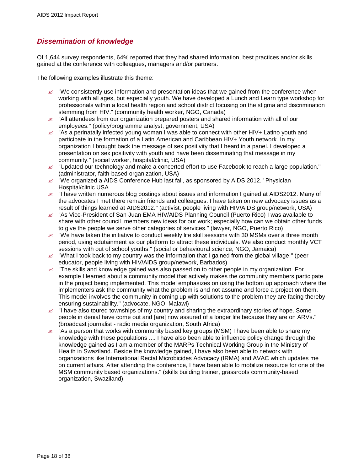## <span id="page-17-0"></span>*Dissemination of knowledge*

Of 1,644 survey respondents, 64% reported that they had shared information, best practices and/or skills gained at the conference with colleagues, managers and/or partners.

- $\ll$  "We consistently use information and presentation ideas that we gained from the conference when working with all ages, but especially youth. We have developed a Lunch and Learn type workshop for professionals within a local health region and school district focusing on the stigma and discrimination stemming from HIV." (community health worker, NGO, Canada)
- $\approx$  "All attendees from our organization prepared posters and shared information with all of our employees." (policy/programme analyst, government, USA)
- $\approx$  "As a perinatally infected young woman I was able to connect with other HIV+ Latino youth and participate in the formation of a Latin American and Caribbean HIV+ Youth network. In my organization I brought back the message of sex positivity that I heard in a panel. I developed a presentation on sex positivity with youth and have been disseminating that message in my community." (social worker, hospital/clinic, USA)
- "Updated our technology and make a concerted effort to use Facebook to reach a large population." (administrator, faith-based organization, USA)
- $\approx$  "We organized a AIDS Conference Hub last fall, as sponsored by AIDS 2012." Physician Hospital/clinic USA
- $\le$  "I have written numerous blog postings about issues and information I gained at AIDS2012. Many of the advocates I met there remain friends and colleagues. I have taken on new advocacy issues as a result of things learned at AIDS2012." (activist, people living with HIV/AIDS group/network, USA)
- $\approx$  "As Vice-President of San Juan EMA HIV/AIDS Planning Council (Puerto Rico) I was available to share with other council members new ideas for our work; especially how can we obtain other funds to give the people we serve other categories of services." (lawyer, NGO, Puerto Rico)
- $\ll$  "We have taken the initiative to conduct weekly life skill sessions with 30 MSMs over a three month period, using edutainment as our platform to attract these individuals. We also conduct monthly VCT sessions with out of school youths." (social or behavioural science, NGO, Jamaica)
- $\approx$  "What I took back to my country was the information that I gained from the global village." (peer educator, people living with HIV/AIDS group/network, Barbados)
- $\leq$  "The skills and knowledge gained was also passed on to other people in my organization. For example I learned about a community model that actively makes the community members participate in the project being implemented. This model emphasizes on using the bottom up approach where the implementers ask the community what the problem is and not assume and force a project on them. This model involves the community in coming up with solutions to the problem they are facing thereby ensuring sustainability." (advocate, NGO, Malawi)
- $\leq$  "I have also toured townships of my country and sharing the extraordinary stories of hope. Some people in denial have come out and [are] now assured of a longer life because they are on ARVs." (broadcast journalist - radio media organization, South Africa)
- $\leq$  "As a person that works with community based key groups (MSM) I have been able to share my knowledge with these populations .... I have also been able to influence policy change through the knowledge gained as I am a member of the MARPs Technical Working Group in the Ministry of Health in Swaziland. Beside the knowledge gained, I have also been able to network with organizations like International Rectal Microbicides Advocacy (IRMA) and AVAC which updates me on current affairs. After attending the conference, I have been able to mobilize resource for one of the MSM community based organizations." (skills building trainer, grassroots community-based organization, Swaziland)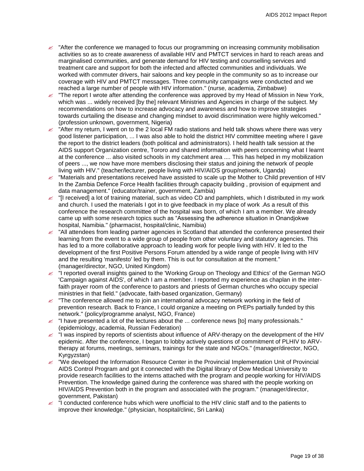- $\approx$  "After the conference we managed to focus our programming on increasing community mobilisation activities so as to create awareness of available HIV and PMTCT services in hard to reach areas and marginalised communities, and generate demand for HIV testing and counselling services and treatment care and support for both the infected and affected communities and individuals. We worked with commuter drivers, hair saloons and key people in the community so as to increase our coverage with HIV and PMTCT messages. Three community campaigns were conducted and we reached a large number of people with HIV information." (nurse, academia, Zimbabwe)
- $\mathbb Z$  "The report I wrote after attending the conference was approved by my Head of Mission in New York, which was ... widely received [by the] relevant Ministries and Agencies in charge of the subject. My recommendations on how to increase advocacy and awareness and how to improve strategies towards curtailing the disease and changing mindset to avoid discrimination were highly welcomed." (profession unknown, government, Nigeria)
- $\ll$  "After my return, I went on to the 2 local FM radio stations and held talk shows where there was very good listener participation, ... I was also able to hold the district HIV committee meeting where I gave the report to the district leaders (both political and administrators). I held health talk session at the AIDS support Organization centre, Tororo and shared information with peers concerning what I learnt at the conference ... also visited schools in my catchment area .... This has helped in my mobilization of peers ..., we now have more members disclosing their status and joining the network of people living with HIV." (teacher/lecturer, people living with HIV/AIDS group/network, Uganda)
- $\approx$  "Materials and presentations received have assisted to scale up the Mother to Child prevention of HIV In the Zambia Defence Force Health facilities through capacity building , provision of equipment and data management." (educator/trainer, government, Zambia)
- $\le$  "[I received] a lot of training material, such as video CD and pamphlets, which I distributed in my work and church. I used the materials I got in to give feedback in my place of work .As a result of this conference the research committee of the hospital was born, of which I am a member. We already came up with some research topics such as "Assessing the adherence situation in Onandjokwe hospital, Namibia." (pharmacist, hospital/clinic, Namibia)
- $\approx$  "All attendees from leading partner agencies in Scotland that attended the conference presented their learning from the event to a wide group of people from other voluntary and statutory agencies. This has led to a more collaborative approach to leading work for people living with HIV. It led to the development of the first Positive Persons Forum attended by a wide range of people living with HIV and the resulting 'manifesto' led by them. This is out for consultation at the moment." (manager/director, NGO, United Kingdom)
- $\approx$  "I reported overall insights gained to the 'Working Group on Theology and Ethics' of the German NGO 'Campaign against AIDS', of which I am a member. I reported my experience as chaplan in the interfaith prayer room of the conference to pastors and priests of German churches who occupy special ministries in that field." (advocate, faith-based organization, Germany)
- $\leq$  "The conference allowed me to join an international advocacy network working in the field of prevention research. Back to France, I could organize a meeting on PrEPs partially funded by this network." (policy/programme analyst, NGO, France)
- $\leq$  "I have presented a lot of the lectures about the ... conference news [to] many professionals." (epidemiology, academia, Russian Federation)
- $\approx$  "I was inspired by reports of scientists about influence of ARV-therapy on the development of the HIV epidemic. After the conference, I began to lobby actively questions of commitment of PLHIV to ARVtherapy at forums, meetings, seminars, trainings for the state and NGOs." (manager/director, NGO, Kyrgyzstan)
- $\approx$  "We developed the Information Resource Center in the Provincial Implementation Unit of Provincial AIDS Control Program and got it connected with the Digital library of Dow Medical University to provide research facilities to the interns attached with the program and people working for HIV/AIDS Prevention. The knowledge gained during the conference was shared with the people working on HIV/AIDS Prevention both in the program and associated with the program." (manager/director, government, Pakistan)
- $\approx$  "I conducted conference hubs which were unofficial to the HIV clinic staff and to the patients to improve their knowledge." (physician, hospital/clinic, Sri Lanka)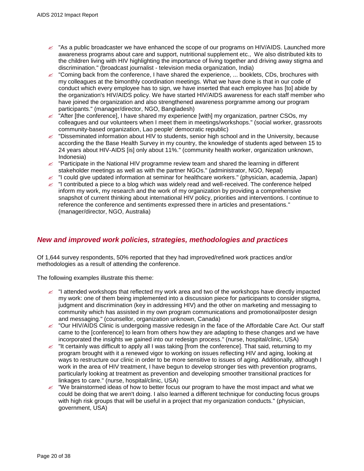- $\approx$  "As a public broadcaster we have enhanced the scope of our programs on HIV/AIDS. Launched more awareness programs about care and support, nutritional supplement etc., We also distributed kits to the children living with HIV highlighting the importance of living together and driving away stigma and discrimination." (broadcast journalist - television media organization, India)
- $\ll$  "Coming back from the conference, I have shared the experience, ... booklets, CDs, brochures with my colleagues at the bimonthly coordination meetings. What we have done is that in our code of conduct which every employee has to sign, we have inserted that each employee has [to] abide by the organization's HIV/AIDS policy. We have started HIV/AIDS awareness for each staff member who have joined the organization and also strengthened awareness porgramme among our program participants." (manager/director, NGO, Bangladesh)
- $\approx$  "After [the conference], I have shared my experience [with] my organization, partner CSOs, my colleagues and our volunteers when I meet them in meetings/workshops." (social worker, grassroots community-based organization, Lao people' democratic republic)
- $\approx$  "Disseminated information about HIV to students, senior high school and in the University, because according the the Base Health Survey in my country, the knowledge of students aged between 15 to 24 years about HIV-AIDS [is] only about 11%." (community health worker, organization unknown, Indonesia)
- $\approx$  "Participate in the National HIV programme review team and shared the learning in different stakeholder meetings as well as with the partner NGOs." (administrator, NGO, Nepal)
- $\ll$  "I could give updated information at seminar for healthcare workers." (physician, academia, Japan)
- $\leq$  "I contributed a piece to a blog which was widely read and well-received. The conference helped inform my work, my research and the work of my organization by providing a comprehensive snapshot of current thinking about international HIV policy, priorities and interventions. I continue to reference the conference and sentiments expressed there in articles and presentations." (manager/director, NGO, Australia)

## <span id="page-19-0"></span>*New and improved work policies, strategies, methodologies and practices*

Of 1,644 survey respondents, 50% reported that they had improved/refined work practices and/or methodologies as a result of attending the conference.

- $\le$  "I attended workshops that reflected my work area and two of the workshops have directly impacted my work: one of them being implemented into a discussion piece for participants to consider stigma, judgment and discrimination (key in addressing HIV) and the other on marketing and messaging to community which has assisted in my own program communications and promotional/poster design and messaging." (counsellor, organization unknown, Canada)
- **"Our HIV/AIDS Clinic is undergoing massive redesign in the face of the Affordable Care Act. Our staff** came to the [conference] to learn from others how they are adapting to these changes and we have incorporated the insights we gained into our redesign process." (nurse, hospital/clinic, USA)
- $\approx$  "It certainly was difficult to apply all I was taking [from the conference]. That said, returning to my program brought with it a renewed vigor to working on issues reflecting HIV and aging, looking at ways to restructure our clinic in order to be more sensitive to issues of aging. Additionally, although I work in the area of HIV treatment, I have begun to develop stronger ties with prevention programs, particularly looking at treatment as prevention and developing smoother transitional practices for linkages to care." (nurse, hospital/clinic, USA)
- $\ll$  "We brainstormed ideas of how to better focus our program to have the most impact and what we could be doing that we aren't doing. I also learned a different technique for conducting focus groups with high risk groups that will be useful in a project that my organization conducts." (physician, government, USA)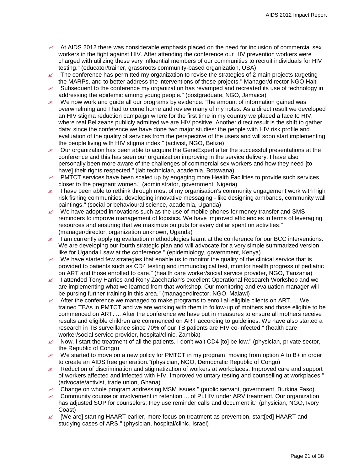- $\approx$  "At AIDS 2012 there was considerable emphasis placed on the need for inclusion of commercial sex workers in the fight against HIV. After attending the conference our HIV prevention workers were charged with utilizing these very influential members of our communities to recruit individuals for HIV testing." (educator/trainer, grassroots community-based organization, USA)
- "The conference has permitted my organization to revise the strategies of 2 main projects targeting the MARPs, and to better address the interventions of these projects." Manager/director NGO Haiti
- $\mathbb Z$  "Subsequent to the conference my organization has revamped and recreated its use of technology in addressing the epidemic among young people." (postgraduate, NGO, Jamaica)
- $\approx$  "We now work and guide all our programs by evidence. The amount of information gained was overwhelming and I had to come home and review many of my notes. As a direct result we developed an HIV stigma reduction campaign where for the first time in my country we placed a face to HIV, where real Belizeans publicly admitted we are HIV positive. Another direct result is the shift to gather data: since the conference we have done two major studies: the people with HIV risk profile and evaluation of the quality of services from the perspective of the users and will soon start implementing the people living with HIV stigma index." (activist, NGO, Belize)
- $\epsilon$  "Our organization has been able to acquire the GeneExpert after the successful presentations at the conference and this has seen our organization improving in the service delivery. I have also personally been more aware of the challenges of commercial sex workers and how they need [to have] their rights respected." (lab technician, academia, Botswana)
- $\approx$  "PMTCT services have been scaled up by engaging more Health Facilities to provide such services closer to the pregnant women." (administrator, government, Nigeria)
- $\leq$  "I have been able to rethink through most of my organisation's community engagement work with high risk fishing communities, developing innovative messaging - like designing armbands, community wall paintings." (social or behavioural science, academia, Uganda)
- $\ll$  "We have adopted innovations such as the use of mobile phones for money transfer and SMS reminders to improve management of logistics. We have improved efficiencies in terms of leveraging resources and ensuring that we maximize outputs for every dollar spent on activities." (manager/director, organization unknown, Uganda)
- $\leq$  "I am currently applying evaluation methodologies learnt at the conference for our BCC interventions. We are developing our fourth strategic plan and will advocate for a very simple summarized version like for Uganda I saw at the conference." (epidemiology, government, Kenya)
- $\ll$  "We have started few strategies that enable us to monitor the quality of the clinical service that is provided to patients such as CD4 testing and immunological test, monitor health progress of pediatric on ART and those enrolled to care." (health care worker/social service provider, NGO, Tanzania)
- $\leq$  "I attended Tony Harries and Rony Zacchariah's excellent Operational Research Workshop and we are implementing what we learned from that workshop. Our monitoring and evaluation manager will be pursing further training in this area." (manager/director, NGO, Malawi)
- $\ll$  "After the conference we managed to make programs to enroll all eligible clients on ART. ... We trained TBAs in PMTCT and we are working with them in follow-up of mothers and those eligible to be commenced on ART. ... After the conference we have put in measures to ensure all mothers receive results and eligible children are commenced on ART according to guidelines. We have also started a research in TB surveillance since 70% of our TB patients are HIV co-infected." (health care worker/social service provider, hospital/clinic, Zambia)
- $\approx$  "Now, I start the treatment of all the patients. I don't wait CD4 [to] be low." (physician, private sector, the Republic of Congo)
- $\ll$  "We started to move on a new policy for PMTCT in my program, moving from option A to B+ in order to create an AIDS free generation."(physician, NGO, Democratic Republic of Congo)
- $\approx$  "Reduction of discrimination and stigmatization of workers at workplaces. Improved care and support of workers affected and infected with HIV. Improved voluntary testing and counselling at workplaces." (advocate/activist, trade union, Ghana)
- $\ll$  "Change on whole program addressing MSM issues." (public servant, government, Burkina Faso)
- $\epsilon$  "Community counselor involvement in retention ... of PLHIV under ARV treatment. Our organization has adjusted SOP for counselors; they use reminder calls and document it." (physician, NGO, Ivory Coast)
- $\ll$  "[We are] starting HAART earlier, more focus on treatment as prevention, start[ed] HAART and studying cases of ARS." (physician, hospital/clinic, Israel)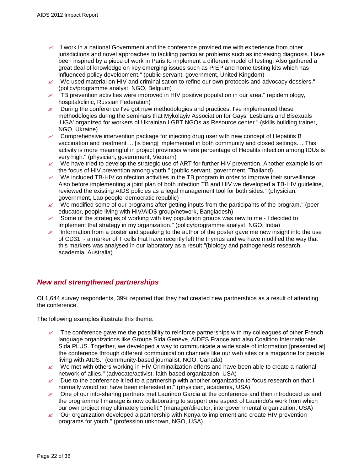- $\mathbb Z$  "I work in a national Government and the conference provided me with experience from other jurisdictions and novel approaches to tackling particular problems such as increasing diagnosis. Have been inspired by a piece of work in Paris to implement a different model of testing. Also gathered a great deal of knowledge on key emerging issues such as PrEP and home testing kits which has influenced policy development." (public servant, government, United Kingdom)
- $\mathscr Z$  "We used material on HIV and criminalisation to refine our own protocols and advocacy dossiers." (policy/programme analyst, NGO, Belgium)
- $\ll$  "TB prevention activities were improved in HIV positive population in our area." (epidemiology, hospital/clinic, Russian Federation)
- $\epsilon$  "During the conference I've got new methodologies and practices. I've implemented these methodologies during the seminars that Mykolayiv Association for Gays, Lesbians and Bisexuals 'LiGA' organized for workers of Ukrainian LGBT NGOs as Resource center." (skills building trainer, NGO, Ukraine)
- $\&\times$  "Comprehensive intervention package for injecting drug user with new concept of Hepatitis B vaccination and treatment ... [is being] implemented in both community and closed settings. ...This activity is more meaningful in project provinces where percentage of Hepatits infection among IDUs is very high." (physician, government, Vietnam)
- $\ll$  "We have tried to develop the strategic use of ART for further HIV prevention. Another example is on the focus of HIV prevention among youth." (public servant, government, Thailand)
- $\approx$  "We included TB-HIV coinfection activities in the TB program in order to improve their surveillance. Also before implementing a joint plan of both infection TB and HIV we developed a TB-HIV guideline, reviewed the existing AIDS policies as a legal management tool for both sides." (physician, government, Lao people' democratic republic)
- $\ll$  "We modified some of our programs after getting inputs from the participants of the program." (peer educator, people living with HIV/AIDS group/network, Bangladesh)
- $\ll$  "Some of the strategies of working with key population groups was new to me I decided to implement that strategy in my organization." (policy/programme analyst, NGO, India)
- $\epsilon$  "Information from a poster and speaking to the author of the poster gave me new insight into the use of CD31 - a marker of T cells that have recently left the thymus and we have modified the way that this markers was analysed in our laboratory as a result."(biology and pathogenesis research, academia, Australia)

## <span id="page-21-0"></span>*New and strengthened partnerships*

Of 1,644 survey respondents, 39% reported that they had created new partnerships as a result of attending the conference.

- $\approx$  "The conference gave me the possibility to reinforce partnerships with my colleagues of other French language organizations like Groupe Sida Genève, AIDES France and also Coalition Internationale Sida PLUS. Together, we developed a way to communicate a wide scale of information [presented at] the conference through different communication channels like our web sites or a magazine for people living with AIDS." (community-based journalist, NGO, Canada)
- $\approx$  "We met with others working in HIV Criminalization efforts and have been able to create a national network of allies." (advocate/activist, faith-based organization, USA)
- $\&\;$  "Due to the conference it led to a partnership with another organization to focus research on that I normally would not have been interested in." (physician, academia, USA)
- $\ll$  "One of our info-sharing partners met Laurindo Garcia at the conference and then introduced us and the programme I manage is now collaborating to support one aspect of Laurindo's work from which our own project may ultimately benefit." (manager/director, intergovernmental organization, USA)
- $\epsilon$  "Our organization developed a partnership with Kenya to implement and create HIV prevention programs for youth." (profession unknown, NGO, USA)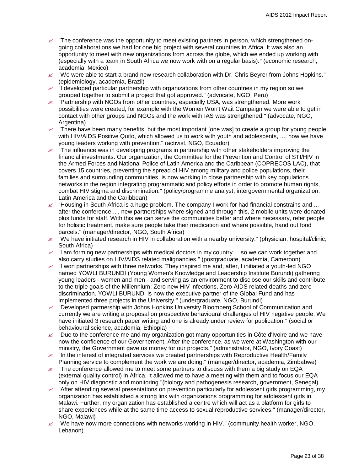- $\mathbb Z$  "The conference was the opportunity to meet existing partners in person, which strengthened ongoing collaborations we had for one big project with several countries in Africa. It was also an opportunity to meet with new organizations from across the globe, which we ended up working with (especially with a team in South Africa we now work with on a regular basis)." (economic research, academia, Mexico)
- $\ll$  "We were able to start a brand new research collaboration with Dr. Chris Beyrer from Johns Hopkins." (epidemiology, academia, Brazil)
- $\ll$  "I developed particular partnership with organizations from other countries in my region so we grouped together to submit a project that got approved." (advocate, NGO, Peru)
- $\approx$  "Partnership with NGOs from other countries, especially USA, was strengthened. More work possibilities were created, for example with the Women Won't Wait Campaign we were able to get in contact with other groups and NGOs and the work with IAS was strengthened." (advocate, NGO, Argentina)
- $\ll$  "There have been many benefits, but the most important [one was] to create a group for young people with HIV/AIDS Positive Quito, which allowed us to work with youth and adolescents, ..., now we have young leaders working with prevention." (activist, NGO, Ecuador)
- $\ll$  "The influence was in developing programs in partnership with other stakeholders improving the financial investments. Our organization, the Committee for the Prevention and Control of STI/HIV in the Armed Forces and National Police of Latin America and the Caribbean (COPRECOS LAC), that covers 15 countries, preventing the spread of HIV among military and police populations, their families and surrounding communities, is now working in close partnership with key populations networks in the region integrating programmatic and policy efforts in order to promote human rights, combat HIV stigma and discrimination." (policy/programme analyst, intergovernmental organization, Latin America and the Caribbean)
- "Housing in South Africa is a huge problem. The company I work for had financial constrains and ... after the conference ..., new partnerships where signed and through this, 2 mobile units were donated plus funds for staff. With this we can serve the communities better and where necessary, refer people for holistic treatment, make sure people take their medication and where possible, hand out food parcels." (manager/director, NGO, South Africa)
- $\ll$  "We have initiated research in HIV in collaboration with a nearby university." (physician, hospital/clinic, South Africa)
- $\le$  "I am forming new partnerships with medical doctors in my country ... so we can work together and also carry studies on HIV/AIDS related malignancies." (postgraduate, academia, Cameroon)
- $\leq$  "I won partnerships with three networks. They inspired me and, after, I initiated a youth-led NGO named YOWLI BURUNDI (Young Women's Knowledge and Leadership Institute Burundi) gathering young leaders - women and men - and serving as an environment to disclose our skills and contribute to the triple goals of the Millennium: Zero new HIV infections, Zero AIDS related deaths and zero discrimination. YOWLI BURUNDI is now the executive partner of the Global Fund and has implemented three projects in the University." (undergraduate, NGO, Burundi)
- $\approx$  "Developed partnership with Johns Hopkins University Bloomberg School of Communication and currently we are writing a proposal on prospective behavioural challenges of HIV negative people. We have initiated 3 research paper writing and one is already under review for publication." (social or behavioural science, academia, Ethiopia)
- $\approx$  "Due to the conference me and my organization got many opportunities in Côte d'Ivoire and we have now the confidence of our Governement. After the conference, as we were at Washington with our ministry, the Government gave us money for our projects." (administrator, NGO, Ivory Coast)
- $\approx$  "In the interest of integrated services we created partnerships with Reproductive Health/Family Planning service to complement the work we are doing." (manager/director, academia, Zimbabwe)
- "The conference allowed me to meet some partners to discuss with them a big study on EQA (external quality control) in Africa. It allowed me to have a meeting with them and to focus our EQA only on HIV diagnostic and monitoring."(biology and pathogenesis research, government, Senegal)
- $\approx$  "After attending several presentations on prevention particularly for adolescent girls programming, my organization has established a strong link with organizations programming for adolescent girls in Malawi. Further, my organization has established a centre which will act as a platform for girls to share experiences while at the same time access to sexual reproductive services." (manager/director, NGO, Malawi)
- $\approx$  "We have now more connections with networks working in HIV." (community health worker, NGO, Lebanon)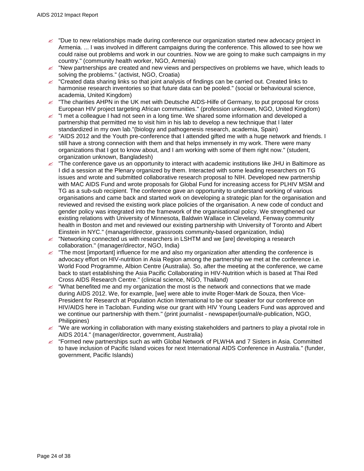- $\approx$  "Due to new relationships made during conference our organization started new advocacy project in Armenia. ... I was involved in different campaigns during the conference. This allowed to see how we could raise out problems and work in our countries. Now we are going to make such campaigns in my country." (community health worker, NGO, Armenia)
- $\approx$  "New partnerships are created and new views and perspectives on problems we have, which leads to solving the problems." (activist, NGO, Croatia)
- $\epsilon$  "Created data sharing links so that joint analysis of findings can be carried out. Created links to harmonise research inventories so that future data can be pooled." (social or behavioural science, academia, United Kingdom)
- $\approx$  "The charities AHPN in the UK met with Deutsche AIDS-Hilfe of Germany, to put proposal for cross European HIV project targeting African communities." (profession unknown, NGO, United Kingdom)
- $\epsilon$  "I met a colleague I had not seen in a long time. We shared some information and developed a partnership that permitted me to visit him in his lab to develop a new technique that I later standardized in my own lab."(biology and pathogenesis research, academia, Spain)
- $\approx$  "AIDS 2012 and the Youth pre-conference that I attended gifted me with a huge network and friends. I still have a strong connection with them and that helps immensely in my work. There were many organizations that I got to know about, and I am working with some of them right now." (student, organization unknown, Bangladesh)
- $\leq$  "The conference gave us an opportunity to interact with academic institutions like JHU in Baltimore as I did a session at the Plenary organized by them. Interacted with some leading researchers on TG issues and wrote and submitted collaborative research proposal to NIH. Developed new partnership with MAC AIDS Fund and wrote proposals for Global Fund for increasing access for PLHIV MSM and TG as a sub-sub recipient. The conference gave an opportunity to understand working of various organisations and came back and started work on developing a strategic plan for the organisation and reviewed and revised the existing work place policies of the organisation. A new code of conduct and gender policy was integrated into the framework of the organisational policy. We strengthened our existing relations with University of Minnesota, Baldwin Wallace in Cleveland, Fenway community health in Boston and met and reviewed our existing partnership with University of Toronto and Albert Einstein in NYC." (manager/director, grassroots community-based organization, India)
- $\approx$  "Networking connected us with researchers in LSHTM and we [are] developing a research collaboration." (manager/director, NGO, India)
- $\approx$  "The most limportant) influence for me and also my organization after attending the conference is advocacy effort on HIV-nutrition in Asia Region among the partnership we met at the conference i.e. World Food Programme, Albion Centre (Australia). So, after the meeting at the conference, we came back to start establishing the Asia Pacific Collaborating in HIV-Nutrition which is based at Thai Red Cross AIDS Research Centre." (clinical science, NGO, Thailand)
- $\ll$  "What benefited me and my organization the most is the network and connections that we made during AIDS 2012. We, for example, [we] were able to invite Roger-Mark de Souza, then Vice-President for Research at Population Action International to be our speaker for our conference on HIV/AIDS here in Tacloban. Funding wise our grant with HIV Young Leaders Fund was approved and we continue our partnership with them." (print journalist - newspaper/journal/e-publication, NGO, Philippines)
- $\epsilon$  "We are working in collaboration with many existing stakeholders and partners to play a pivotal role in AIDS 2014." (manager/director, government, Australia)
- $\epsilon$  "Formed new partnerships such as with Global Network of PLWHA and 7 Sisters in Asia. Committed to have inclusion of Pacific Island voices for next International AIDS Conference in Australia." (funder, government, Pacific Islands)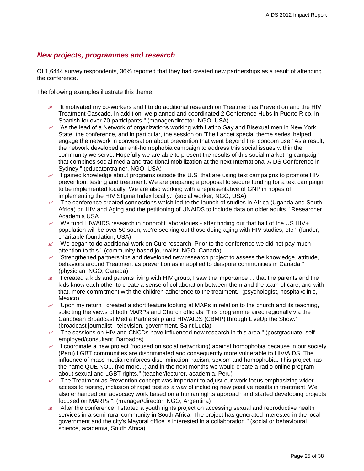## <span id="page-24-0"></span>*New projects, programmes and research*

Of 1,6444 survey respondents, 36% reported that they had created new partnerships as a result of attending the conference.

- $\approx$  "It motivated my co-workers and I to do additional research on Treatment as Prevention and the HIV Treatment Cascade. In addition, we planned and coordinated 2 Conference Hubs in Puerto Rico, in Spanish for over 70 participants." (manager/director, NGO, USA)
- $\approx$  "As the lead of a Network of organizations working with Latino Gay and Bisexual men in New York State, the conference, and in particular, the session on 'The Lancet special theme series' helped engage the network in conversation about prevention that went beyond the 'condom use.' As a result, the network developed an anti-homophobia campaign to address this social issues within the community we serve. Hopefully we are able to present the results of this social marketing campaign that combines social media and traditional mobilization at the next International AIDS Conference in Sydney." (educator/trainer, NGO, USA)
- $\approx$  "I gained knowledge about programs outside the U.S. that are using text campaigns to promote HIV prevention, testing and treatment. We are preparing a proposal to secure funding for a text campaign to be implemented locally. We are also working with a representative of GNP in hopes of implementing the HIV Stigma Index locally." (social worker, NGO, USA)
- $\leq$  "The conference created connections which led to the launch of studies in Africa (Uganda and South Africa) on HIV and Aging and the petitioning of UNAIDS to include data on older adults." Researcher Academia USA
- $\approx$  "We fund HIV/AIDS research in nonprofit laboratories after finding out that half of the US HIV+ population will be over 50 soon, we're seeking out those doing aging with HIV studies, etc." (funder, charitable foundation, USA)
- $\ll$  "We began to do additional work on Cure research. Prior to the conference we did not pay much attention to this." (community-based journalist, NGO, Canada)
- $\leq$  "Strengthened partnerships and developed new research project to assess the knowledge, attitude, behaviors around Treatment as prevention as in applied to diaspora communities in Canada." (physician, NGO, Canada)
- $\le$  "I created a kids and parents living with HIV group, I saw the importance ... that the parents and the kids know each other to create a sense of collaboration between them and the team of care, and with that, more commitment with the children adherence to the treatment." (psychologist, hospital/clinic, Mexico)
- $\ll$  "Upon my return I created a short feature looking at MAPs in relation to the church and its teaching, soliciting the views of both MARPs and Church officials. This programme aired regionally via the Caribbean Broadcast Media Partnership and HIV/AIDS (CBMP) through LiveUp the Show." (broadcast journalist - television, government, Saint Lucia)
- $\approx$  "The sessions on HIV and CNCDs have influenced new research in this area." (postgraduate, selfemployed/consultant, Barbados)
- $\leq$  "I coordinate a new project (focused on social networking) against homophobia because in our society (Peru) LGBT communities are discriminated and consequently more vulnerable to HIV/AIDS. The influence of mass media reinforces discrimination, racism, sexism and homophobia. This project has the name QUE NO... (No more...) and in the next months we would create a radio online program about sexual and LGBT rights." (teacher/lecturer, academia, Peru)
- $\mathbb Z$  "The Treatment as Prevention concept was important to adjust our work focus emphasizing wider access to testing, inclusion of rapid test as a way of including new positive results in treatment. We also enhanced our advocacy work based on a human rights approach and started developing projects focused on MARPs ". (manager/director, NGO, Argentina)
- $\le$  "After the conference, I started a youth rights project on accessing sexual and reproductive health services in a semi-rural community in South Africa. The project has generated interested in the local government and the city's Mayoral office is interested in a collaboration." (social or behavioural science, academia, South Africa)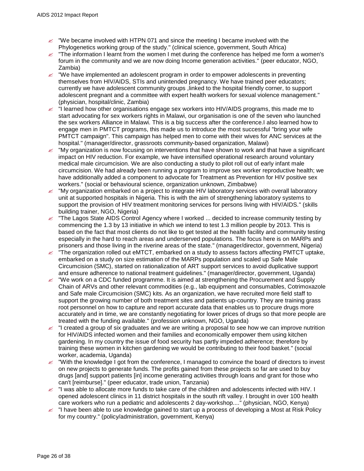- $\ll$  "We became involved with HTPN 071 and since the meeting I became involved with the Phylogenetics working group of the study." (clinical science, government, South Africa)
- $\leq$  "The information I learnt from the women I met during the conference has helped me form a women's forum in the community and we are now doing Income generation activities." (peer educator, NGO, Zambia)
- $\mathscr{\mathscr{E}}$  "We have implemented an adolescent program in order to empower adolescents in preventing themselves from HIV/AIDS, STIs and unintended pregnancy. We have trained peer educators; currently we have adolescent community groups , linked to the hospital friendly corner, to support adolescent pregnant and a committee with expert health workers for sexual violence management." (physician, hospital/clinic, Zambia)
- $\leq$  "I learned how other organisations engage sex workers into HIV/AIDS programs, this made me to start advocating for sex workers rights in Malawi, our organisation is one of the seven who launched the sex workers Alliance in Malawi. This is a big success after the conference.I also learned how to engage men in PMTCT programs, this made us to introduce the most successful "bring your wife PMTCT campaign". This campaign has helped men to come with their wives for ANC services at the hospital." (manager/director, grassroots community-based organization, Malawi)
- $\ll$  "My organization is now focusing on interventions that have shown to work and that have a significant impact on HIV reduction. For example, we have intensified operational research around voluntary medical male circumcision. We are also conducting a study to pilot roll out of early infant male circumcision. We had already been running a program to improve sex worker reproductive health; we have additionally added a component to advocate for Treatment as Prevention for HIV positive sex workers." (social or behavioural science, organization unknown, Zimbabwe)
- $\ll$  "My organization embarked on a project to integrate HIV laboratory services with overall laboratory unit at supported hospitals in Nigeria. This is with the aim of strengthening laboratory systems to support the provision of HIV treatment monitoring services for persons living with HIV/AIDS." (skills building trainer, NGO, Nigeria)
- $\approx$  "The Lagos State AIDS Control Agency where I worked ... decided to increase community testing by commencing the 1.3 by 13 initiative in which we intend to test 1.3 million people by 2013. This is based on the fact that most clients do not like to get tested at the health facility and community testing especially in the hard to reach areas and underserved populations. The focus here is on MARPs and prisoners and those living in the riverine areas of the state." (manager/director, government, Nigeria)
- $\approx$  "The organization rolled out eMTCT, embarked on a study to assess factors affecting PMTCT uptake, embarked on a study on size estimation of the MARPs population and scaled up Safe Male Circumcision (SMC), started on rationalization of ART support services to avoid duplicative support and ensure adherence to national treatment guidelines." (manager/director, government, Uganda)
- $\mathscr{\mathscr{L}}$  "We work on a CDC funded programme. It is aimed at strengthening the Procurement and Supply Chain of ARVs and other relevant commodities (e.g., lab equipment and consumables, Cotrimoxazole and Safe male Circumcision (SMC) kits. As an organization, we have recruited more field staff to support the growing number of both treatment sites and patients up-country. They are training grass root personnel on how to capture and report accurate data that enables us to procure drugs more accurately and in time, we are constantly negotiating for lower prices of drugs so that more people are treated with the funding available." (profession unknown, NGO, Uganda)
- $\epsilon$  "I created a group of six graduates and we are writing a proposal to see how we can improve nutrition for HIV/AIDS infected women and their families and economically empower them using kitchen gardening. In my country the issue of food security has partly impeded adherence; therefore by training these women in kitchen gardening we would be contributing to their food basket." (social worker, academia, Uganda)
- $\approx$  "With the knowledge I got from the conference, I managed to convince the board of directors to invest on new projects to generate funds. The profits gained from these projects so far are used to buy drugs [and] support patients [in] income generating activities through loans and grant for those who can't [reimburse]." (peer educator, trade union, Tanzania)
- $\ll$  "I was able to allocate more funds to take care of the children and adolescents infected with HIV. I opened adolescent clinics in 11 district hospitals in the south rift valley. I brought in over 100 health care workers who run a pediatric and adolescents 2 day-workshop...." (physician, NGO, Kenya)
- $\approx$  "I have been able to use knowledge gained to start up a process of developing a Most at Risk Policy for my country." (policy/administration, government, Kenya)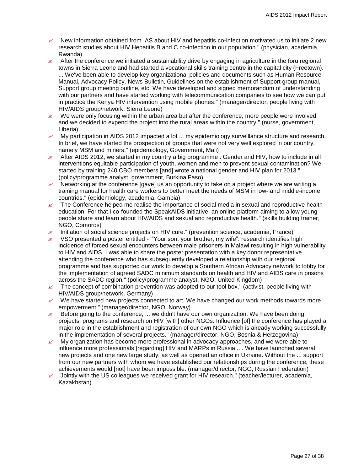- $\ll$  "New information obtained from IAS about HIV and hepatitis co-infection motivated us to initiate 2 new research studies about HIV Hepatitis B and C co-infection in our population." (physician, academia, Rwanda)
- $\approx$  "After the conference we initiated a sustainability drive by engaging in agriculture in the foru regional towns in Sierra Leone and had started a vocational skills training centre in the capital city (Freetown). ... We've been able to develop key organizational policies and documents such as Human Resource Manual, Advocacy Policy, News Bulletin, Guidelines on the establishment of Support group manual, Support group meeting outline, etc. We have developed and signed memorandum of understanding with our partners and have started working with telecommunication companies to see how we can put in practice the Kenya HIV intervention using mobile phones." (manager/director, people living with HIV/AIDS group/network, Sierra Leone)
- $\ll$  "We were only focusing within the urban area but after the conference, more people were involved and we decided to expend the project into the rural areas within the country." (nurse, government, Liberia)
- $\ll$  "My participation in AIDS 2012 impacted a lot ... my epidemiology surveillance structure and research. In brief, we have started the prospection of groups that were not very well explored in our country, namely MSM and miners." (epidemiology, Government, Mali)
- $\le$  "After AIDS 2012, we started in my country a big programme : Gender and HIV, how to include in all interventions equitable participation of youth, women and men to prevent sexual contamination? We started by training 240 CBO members [and] wrote a national gender and HIV plan for 2013." (policy/programme analyst, government, Burkina Faso)
- $\ll$  "Networking at the conference [gave] us an opportunity to take on a project where we are writing a training manual for health care workers to better meet the needs of MSM in low- and middle-income countries." (epidemiology, academia, Gambia)
- $\leq$  "The Conference helped me realise the importance of social media in sexual and reproductive health education. For that I co-founded the SpeakAIDS initiative, an online platform aiming to allow young people share and learn about HIV/AIDS and sexual and reproductive health." (skills building trainer, NGO, Comoros)
- $\approx$  "Initiation of social science projects on HIV cure." (prevention science, academia, France)
- "VSO presented a poster entitled '"Your son, your brother, my wife": research identifies high incidence of forced sexual encounters between male prisoners in Malawi resulting in high vulnerability to HIV and AIDS. I was able to share the poster presentation with a key donor representative attending the conference who has subsequently developed a relationship with our regional programme and has supported our work to develop a Southern African Advocacy network to lobby for the implementation of agreed SADC minimum standards on health and HIV and AIDS care in prisons across the SADC region." (policy/programme analyst, NGO, United Kingdom)
- $\approx$  "The concept of combination prevention was adopted to our tool box." (activist, people living with HIV/AIDS group/network, Germany)
- $\ll$  "We have started new projects connected to art. We have changed our work methods towards more empowerment." (manager/director, NGO, Norway)
- $\mathscr{\mathscr{L}}$  "Before going to the conference, ... we didn't have our own organization. We have been doing projects, programs and research on HIV [with] other NGOs. Influence [of] the conference has played a major role in the establishment and registration of our own NGO which is already working successfully in the implementation of several projects." (manager/director, NGO, Bosnia & Herzegovina)
- $\mathscr{L}$  "My organization has become more professional in advocacy approaches, and we were able to influence more professionals [regarding] HIV and MARPs in Russia..... We have launched several new projects and one new large study, as well as opened an office in Ukraine. Without the ... support from our new partners with whom we have established our relationships during the conference, these achievements would [not] have been impossible. (manager/director, NGO, Russian Federation)
- "Jointly with the US colleagues we received grant for HIV research." (teacher/lecturer, academia, Kazakhstan)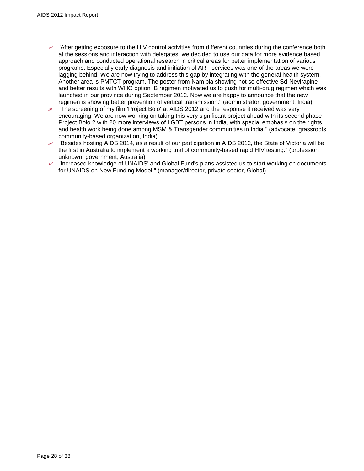- $\approx$  "After getting exposure to the HIV control activities from different countries during the conference both at the sessions and interaction with delegates, we decided to use our data for more evidence based approach and conducted operational research in critical areas for better implementation of various programs. Especially early diagnosis and initiation of ART services was one of the areas we were lagging behind. We are now trying to address this gap by integrating with the general health system. Another area is PMTCT program. The poster from Namibia showing not so effective Sd-Nevirapine and better results with WHO option\_B regimen motivated us to push for multi-drug regimen which was launched in our province during September 2012. Now we are happy to announce that the new regimen is showing better prevention of vertical transmission." (administrator, government, India)
- $\approx$  "The screening of my film 'Project Bolo' at AIDS 2012 and the response it received was very encouraging. We are now working on taking this very significant project ahead with its second phase - Project Bolo 2 with 20 more interviews of LGBT persons in India, with special emphasis on the rights and health work being done among MSM & Transgender communities in India." (advocate, grassroots community-based organization, India)
- $\approx$  "Besides hosting AIDS 2014, as a result of our participation in AIDS 2012, the State of Victoria will be the first in Australia to implement a working trial of community-based rapid HIV testing." (profession unknown, government, Australia)
- $\&$  "Increased knowledge of UNAIDS' and Global Fund's plans assisted us to start working on documents for UNAIDS on New Funding Model." (manager/director, private sector, Global)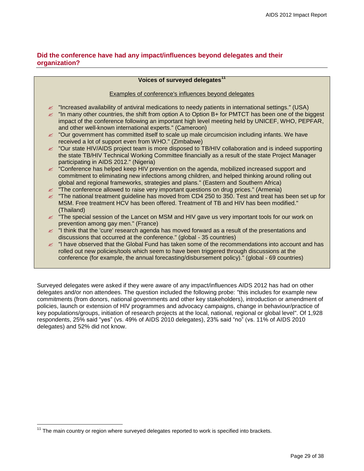## <span id="page-28-0"></span>**Did the conference have had any impact/influences beyond delegates and their organization?**

|               | Voices of surveyed delegates <sup>11</sup>                                                                                                                                                   |  |  |  |  |
|---------------|----------------------------------------------------------------------------------------------------------------------------------------------------------------------------------------------|--|--|--|--|
|               | Examples of conference's influences beyond delegates                                                                                                                                         |  |  |  |  |
|               |                                                                                                                                                                                              |  |  |  |  |
| $\mathscr{L}$ | "Increased availability of antiviral medications to needy patients in international settings." (USA)                                                                                         |  |  |  |  |
| $\mathscr{L}$ | "In many other countries, the shift from option A to Option B+ for PMTCT has been one of the biggest                                                                                         |  |  |  |  |
|               | impact of the conference following an important high level meeting held by UNICEF, WHO, PEPFAR,                                                                                              |  |  |  |  |
|               | and other well-known international experts." (Cameroon)                                                                                                                                      |  |  |  |  |
|               | im "Our government has committed itself to scale up male circumcision including infants. We have                                                                                             |  |  |  |  |
|               | received a lot of support even from WHO." (Zimbabwe)                                                                                                                                         |  |  |  |  |
|               | imetable of TB/HIV collaboration and is the Supposed Windows TB/HIV collaboration and is indeed supporting                                                                                   |  |  |  |  |
|               | the state TB/HIV Technical Working Committee financially as a result of the state Project Manager                                                                                            |  |  |  |  |
|               | participating in AIDS 2012." (Nigeria)<br>im "Conference has helped keep HIV prevention on the agenda, mobilized increased support and                                                       |  |  |  |  |
|               | commitment to eliminating new infections among children, and helped thinking around rolling out                                                                                              |  |  |  |  |
|               | global and regional frameworks, strategies and plans." (Eastern and Southern Africa)                                                                                                         |  |  |  |  |
|               | $\mathscr{L}$ "The conference allowed to raise very important questions on drug prices." (Armenia)                                                                                           |  |  |  |  |
|               | $\approx$ "The national treatment guideline has moved from CD4 250 to 350. Test and treat has been set up for                                                                                |  |  |  |  |
|               | MSM. Free treatment HCV has been offered. Treatment of TB and HIV has been modified."                                                                                                        |  |  |  |  |
|               | (Thailand)                                                                                                                                                                                   |  |  |  |  |
|               | $\epsilon$ "The special session of the Lancet on MSM and HIV gave us very important tools for our work on                                                                                    |  |  |  |  |
|               | prevention among gay men." (France)                                                                                                                                                          |  |  |  |  |
|               | $\mathscr{L}$ "I think that the 'cure' research agenda has moved forward as a result of the presentations and                                                                                |  |  |  |  |
|               | discussions that occurred at the conference." (global - 35 countries)                                                                                                                        |  |  |  |  |
|               | $\epsilon$ "I have observed that the Global Fund has taken some of the recommendations into account and has                                                                                  |  |  |  |  |
|               | rolled out new policies/tools which seem to have been triggered through discussions at the<br>conference (for example, the annual forecasting/disbursement policy)." (global - 69 countries) |  |  |  |  |
|               |                                                                                                                                                                                              |  |  |  |  |

Surveyed delegates were asked if they were aware of any impact/influences AIDS 2012 has had on other delegates and/or non attendees. The question included the following probe: "this includes for example new commitments (from donors, national governments and other key stakeholders), introduction or amendment of policies, launch or extension of HIV programmes and advocacy campaigns, change in behaviour/practice of key populations/groups, initiation of research projects at the local, national, regional or global level". Of 1,928 respondents, 25% said "yes" (vs. 49% of AIDS 2010 delegates), 23% said "no" (vs. 11% of AIDS 2010 delegates) and 52% did not know.

 $\overline{a}$ 

 $11$  The main country or region where surveyed delegates reported to work is specified into brackets.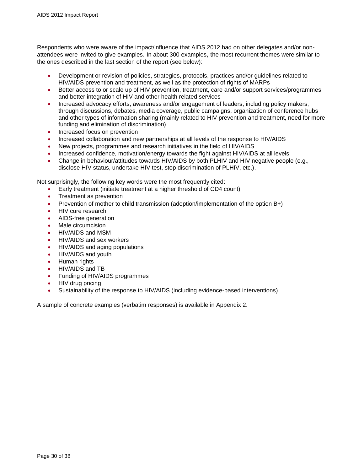Respondents who were aware of the impact/influence that AIDS 2012 had on other delegates and/or nonattendees were invited to give examples. In about 300 examples, the most recurrent themes were similar to the ones described in the last section of the report (see below):

- Development or revision of policies, strategies, protocols, practices and/or guidelines related to HIV/AIDS prevention and treatment, as well as the protection of rights of MARPs
- Better access to or scale up of HIV prevention, treatment, care and/or support services/programmes and better integration of HIV and other health related services
- Increased advocacy efforts, awareness and/or engagement of leaders, including policy makers, through discussions, debates, media coverage, public campaigns, organization of conference hubs and other types of information sharing (mainly related to HIV prevention and treatment, need for more funding and elimination of discrimination)
- Increased focus on prevention
- Increased collaboration and new partnerships at all levels of the response to HIV/AIDS
- New projects, programmes and research initiatives in the field of HIV/AIDS
- Increased confidence, motivation/energy towards the fight against HIV/AIDS at all levels
- Change in behaviour/attitudes towards HIV/AIDS by both PLHIV and HIV negative people (e.g., disclose HIV status, undertake HIV test, stop discrimination of PLHIV, etc.).

Not surprisingly, the following key words were the most frequently cited:

- Early treatment (initiate treatment at a higher threshold of CD4 count)
- Treatment as prevention
- Prevention of mother to child transmission (adoption/implementation of the option B+)
- HIV cure research
- AIDS-free generation
- Male circumcision
- HIV/AIDS and MSM
- HIV/AIDS and sex workers
- HIV/AIDS and aging populations
- HIV/AIDS and youth
- Human rights
- HIV/AIDS and TB
- Funding of HIV/AIDS programmes
- HIV drug pricing
- Sustainability of the response to HIV/AIDS (including evidence-based interventions).

A sample of concrete examples (verbatim responses) is available in Appendix 2.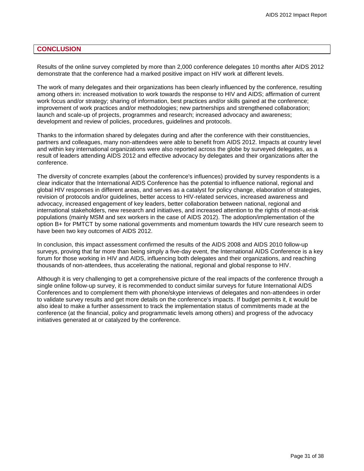#### <span id="page-30-0"></span>**CONCLUSION**

Results of the online survey completed by more than 2,000 conference delegates 10 months after AIDS 2012 demonstrate that the conference had a marked positive impact on HIV work at different levels.

The work of many delegates and their organizations has been clearly influenced by the conference, resulting among others in: increased motivation to work towards the response to HIV and AIDS; affirmation of current work focus and/or strategy; sharing of information, best practices and/or skills gained at the conference; improvement of work practices and/or methodologies; new partnerships and strengthened collaboration; launch and scale-up of projects, programmes and research; increased advocacy and awareness; development and review of policies, procedures, guidelines and protocols.

Thanks to the information shared by delegates during and after the conference with their constituencies, partners and colleagues, many non-attendees were able to benefit from AIDS 2012. Impacts at country level and within key international organizations were also reported across the globe by surveyed delegates, as a result of leaders attending AIDS 2012 and effective advocacy by delegates and their organizations after the conference.

The diversity of concrete examples (about the conference's influences) provided by survey respondents is a clear indicator that the International AIDS Conference has the potential to influence national, regional and global HIV responses in different areas, and serves as a catalyst for policy change, elaboration of strategies, revision of protocols and/or guidelines, better access to HIV-related services, increased awareness and advocacy, increased engagement of key leaders, better collaboration between national, regional and international stakeholders, new research and initiatives, and increased attention to the rights of most-at-risk populations (mainly MSM and sex workers in the case of AIDS 2012). The adoption/implementation of the option B+ for PMTCT by some national governments and momentum towards the HIV cure research seem to have been two key outcomes of AIDS 2012.

In conclusion, this impact assessment confirmed the results of the AIDS 2008 and AIDS 2010 follow-up surveys, proving that far more than being simply a five-day event, the International AIDS Conference is a key forum for those working in HIV and AIDS, influencing both delegates and their organizations, and reaching thousands of non-attendees, thus accelerating the national, regional and global response to HIV.

Although it is very challenging to get a comprehensive picture of the real impacts of the conference through a single online follow-up survey, it is recommended to conduct similar surveys for future International AIDS Conferences and to complement them with phone/skype interviews of delegates and non-attendees in order to validate survey results and get more details on the conference's impacts. If budget permits it, it would be also ideal to make a further assessment to track the implementation status of commitments made at the conference (at the financial, policy and programmatic levels among others) and progress of the advocacy initiatives generated at or catalyzed by the conference.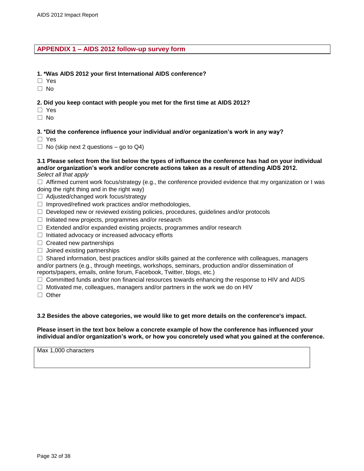#### <span id="page-31-0"></span>**APPENDIX 1 – AIDS 2012 follow-up survey form**

#### **1. \*Was AIDS 2012 your first International AIDS conference?**

- □ Yes
- □ No

#### **2. Did you keep contact with people you met for the first time at AIDS 2012?**

- □ Yes
- □ No

#### **3. \*Did the conference influence your individual and/or organization's work in any way?**

- □ Yes
- $\Box$  No (skip next 2 questions go to Q4)

#### **3.1 Please select from the list below the types of influence the conference has had on your individual and/or organization's work and/or concrete actions taken as a result of attending AIDS 2012.** *Select all that apply*

 $\square$  Affirmed current work focus/strategy (e.g., the conference provided evidence that my organization or I was doing the right thing and in the right way)

- □ Adjusted/changed work focus/strategy
- $\Box$  Improved/refined work practices and/or methodologies,
- $\square$  Developed new or reviewed existing policies, procedures, guidelines and/or protocols
- $\square$  Initiated new projects, programmes and/or research
- $\Box$  Extended and/or expanded existing projects, programmes and/or research
- $\Box$  Initiated advocacy or increased advocacy efforts
- $\Box$  Created new partnerships
- $\Box$  Joined existing partnerships

 $\square$  Shared information, best practices and/or skills gained at the conference with colleagues, managers and/or partners (e.g., through meetings, workshops, seminars, production and/or dissemination of reports/papers, emails, online forum, Facebook, Twitter, blogs, etc.)

 $\square$  Committed funds and/or non financial resources towards enhancing the response to HIV and AIDS

 $\Box$  Motivated me, colleagues, managers and/or partners in the work we do on HIV

□ Other

#### **3.2 Besides the above categories, we would like to get more details on the conference's impact.**

**Please insert in the text box below a concrete example of how the conference has influenced your individual and/or organization's work, or how you concretely used what you gained at the conference.**

Max 1,000 characters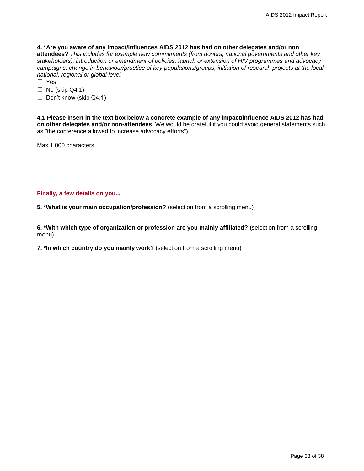**4. \*Are you aware of any impact/influences AIDS 2012 has had on other delegates and/or non attendees?** *This includes for example new commitments (from donors, national governments and other key stakeholders), introduction or amendment of policies, launch or extension of HIV programmes and advocacy campaigns, change in behaviour/practice of key populations/groups, initiation of research projects at the local, national, regional or global level.*

□ Yes

 $\Box$  No (skip Q4.1)

 $\Box$  Don't know (skip Q4.1)

**4.1 Please insert in the text box below a concrete example of any impact/influence AIDS 2012 has had on other delegates and/or non-attendees**. We would be grateful if you could avoid general statements such as "the conference allowed to increase advocacy efforts").

Max 1,000 characters

#### **Finally, a few details on you...**

**5. \*What is your main occupation/profession?** (selection from a scrolling menu)

**6. \*With which type of organization or profession are you mainly affiliated?** (selection from a scrolling menu)

**7. \*In which country do you mainly work?** (selection from a scrolling menu)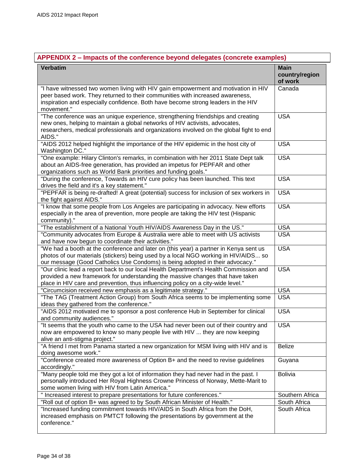## <span id="page-33-0"></span>**APPENDIX 2 – Impacts of the conference beyond delegates (concrete examples)**

| <b>Verbatim</b>                                                                                                                                                                                                                                                        | <b>Main</b><br>country/region<br>of work |
|------------------------------------------------------------------------------------------------------------------------------------------------------------------------------------------------------------------------------------------------------------------------|------------------------------------------|
| "I have witnessed two women living with HIV gain empowerment and motivation in HIV<br>peer based work. They returned to their communities with increased awareness,<br>inspiration and especially confidence. Both have become strong leaders in the HIV<br>movement." | Canada                                   |
| "The conference was an unique experience, strengthening friendships and creating<br>new ones, helping to maintain a global networks of HIV activists, advocates,<br>researchers, medical professionals and organizations involved on the global fight to end<br>AIDS." | <b>USA</b>                               |
| "AIDS 2012 helped highlight the importance of the HIV epidemic in the host city of<br>Washington DC."                                                                                                                                                                  | <b>USA</b>                               |
| "One example: Hilary Clinton's remarks, in combination with her 2011 State Dept talk<br>about an AIDS-free generation, has provided an impetus for PEPFAR and other<br>organizations such as World Bank priorities and funding goals."                                 | <b>USA</b>                               |
| "During the conference, Towards an HIV cure policy has been launched. This text<br>drives the field and it's a key statement."                                                                                                                                         | <b>USA</b>                               |
| "PEPFAR is being re-drafted! A great (potential) success for inclusion of sex workers in<br>the fight against AIDS."                                                                                                                                                   | <b>USA</b>                               |
| "I know that some people from Los Angeles are participating in advocacy. New efforts<br>especially in the area of prevention, more people are taking the HIV test (Hispanic<br>community)."                                                                            | <b>USA</b>                               |
| "The establishment of a National Youth HIV/AIDS Awareness Day in the US."                                                                                                                                                                                              | <b>USA</b>                               |
| "Community advocates from Europe & Australia were able to meet with US activists<br>and have now begun to coordinate their activities."                                                                                                                                | <b>USA</b>                               |
| "We had a booth at the conference and later on (this year) a partner in Kenya sent us<br>photos of our materials (stickers) being used by a local NGO working in HIV/AIDS so<br>our message (Good Catholics Use Condoms) is being adopted in their advocacy."          | <b>USA</b>                               |
| "Our clinic lead a report back to our local Health Department's Health Commission and<br>provided a new framework for understanding the massive changes that have taken<br>place in HIV care and prevention, thus influencing policy on a city-wide level."            | <b>USA</b>                               |
| "Circumcision received new emphasis as a legitimate strategy."                                                                                                                                                                                                         | <b>USA</b>                               |
| "The TAG (Treatment Action Group) from South Africa seems to be implementing some<br>ideas they gathered from the conference."                                                                                                                                         | <b>USA</b>                               |
| "AIDS 2012 motivated me to sponsor a post conference Hub in September for clinical<br>and community audiences."                                                                                                                                                        | <b>USA</b>                               |
| "It seems that the youth who came to the USA had never been out of their country and<br>now are empowered to know so many people live with HIV  they are now keeping<br>alive an anti-stigma project."                                                                 | <b>USA</b>                               |
| "A friend I met from Panama started a new organization for MSM living with HIV and is<br>doing awesome work."                                                                                                                                                          | <b>Belize</b>                            |
| "Conference created more awareness of Option B+ and the need to revise guidelines<br>accordingly."                                                                                                                                                                     | Guyana                                   |
| "Many people told me they got a lot of information they had never had in the past. I<br>personally introduced Her Royal Highness Crowne Princess of Norway, Mette-Marit to<br>some women living with HIV from Latin America."                                          | <b>Bolivia</b>                           |
| " Increased interest to prepare presentations for future conferences."                                                                                                                                                                                                 | Southern Africa                          |
| "Roll out of option B+ was agreed to by South African Minister of Health."                                                                                                                                                                                             | South Africa                             |
| "Increased funding commitment towards HIV/AIDS in South Africa from the DoH,<br>increased emphasis on PMTCT following the presentations by government at the<br>conference."                                                                                           | South Africa                             |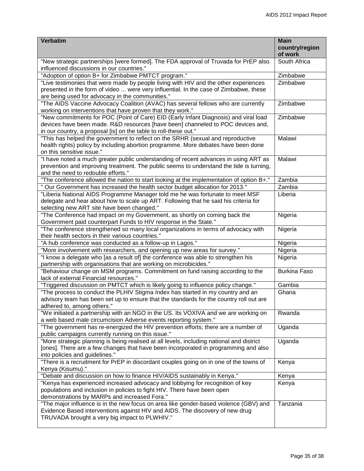| <b>Verbatim</b>                                                                                                                                 | <b>Main</b>               |
|-------------------------------------------------------------------------------------------------------------------------------------------------|---------------------------|
|                                                                                                                                                 | country/region<br>of work |
| "New strategic partnerships [were formed]. The FDA approval of Truvada for PrEP also                                                            | South Africa              |
| influenced discussions in our countries."                                                                                                       |                           |
| "Adoption of option B+ for Zimbabwe PMTCT program."                                                                                             | Zimbabwe                  |
| "Live testimonies that were made by people living with HIV and the other experiences                                                            | Zimbabwe                  |
| presented in the form of video  were very influential. In the case of Zimbabwe, these                                                           |                           |
| are being used for advocacy in the communities."                                                                                                |                           |
| "The AIDS Vaccine Advocacy Coalition (AVAC) has several fellows who are currently<br>working on interventions that have proven that they work." | Zimbabwe                  |
| "New commitments for POC (Point of Care) EID (Early Infant Diagnosis) and viral load                                                            | Zimbabwe                  |
| devices have been made. R&D resources [have been] channeled to POC devices and,                                                                 |                           |
| in our country, a proposal [is] on the table to roll-these out."                                                                                |                           |
| "This has helped the government to reflect on the SRHR (sexual and reproductive                                                                 | Malawi                    |
| health rights) policy by including abortion programme. More debates have been done<br>on this sensitive issue."                                 |                           |
| "I have noted a much greater public understanding of recent advances in using ART as                                                            | Malawi                    |
| prevention and improving treatment. The public seems to understand the tide is turning,                                                         |                           |
| and the need to redouble efforts."                                                                                                              |                           |
| "The conference allowed the nation to start looking at the implementation of option B+."                                                        | Zambia                    |
| " Our Government has increased the health sector budget allocation for 2013."                                                                   | Zambia                    |
| "Liberia National AIDS Programme Manager told me he was fortunate to meet MSF                                                                   | Liberia                   |
| delegate and hear about how to scale up ART. Following that he said his criteria for                                                            |                           |
| selecting new ART site have been changed."                                                                                                      |                           |
| "The Conference had impact on my Government, as shortly on coming back the<br>Government paid counterpart Funds to HIV response in the State."  | Nigeria                   |
| "The conference strengthened so many local organizations in terms of advocacy with                                                              | Nigeria                   |
| their health sectors in their various countries."                                                                                               |                           |
| "A hub conference was conducted as a follow-up in Lagos."                                                                                       | Nigeria                   |
| "More involvement with researchers, and opening up new areas for survey."                                                                       | Nigeria                   |
| "I know a delegate who [as a result of] the conference was able to strengthen his                                                               | Nigeria                   |
| partnership with organisations that are working on microbicides."                                                                               |                           |
| "Behaviour change on MSM programs. Commitment on fund raising according to the<br>lack of external Financial resources."                        | <b>Burkina Faso</b>       |
| "Triggered discussion on PMTCT which is likely going to influence policy change."                                                               | Gambia                    |
| "The process to conduct the PLHIV Stigma Index has started in my country and an                                                                 | Ghana                     |
| advisory team has been set up to ensure that the standards for the country roll out are<br>adhered to, among others."                           |                           |
| "We initiated a partnership with an NGO in the US. Its VOXIVA and we are working on                                                             | Rwanda                    |
| a web based male circumcision Adverse events reporting system."                                                                                 |                           |
| "The government has re-energized the HIV prevention efforts; there are a number of                                                              | Uganda                    |
| public campaigns currently running on this issue."                                                                                              |                           |
| "More strategic planning is being realised at all levels, including national and district                                                       | Uganda                    |
| [ones]. There are a few changes that have been incorporated in programming and also<br>into policies and guidelines."                           |                           |
| "There is a recruitment for PrEP in discordant couples going on in one of the towns of                                                          | Kenya                     |
| Kenya (Kisumu)."                                                                                                                                |                           |
| "Debate and discussion on how to finance HIV/AIDS sustainably in Kenya."                                                                        | Kenya                     |
| "Kenya has experienced increased advocacy and lobbying for recognition of key                                                                   | Kenya                     |
| populations and inclusion in policies to fight HIV. There have been open<br>demonstrations by MARPs and increased Fora."                        |                           |
| "The major influence is in the new focus on area like gender-based violence (GBV) and                                                           | Tanzania                  |
| Evidence Based interventions against HIV and AIDS. The discovery of new drug                                                                    |                           |
| TRUVADA brought a very big impact to PLWHIV."                                                                                                   |                           |
|                                                                                                                                                 |                           |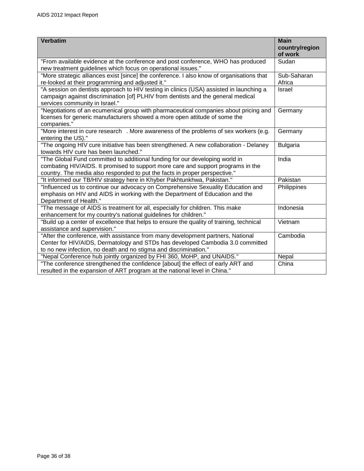| <b>Verbatim</b>                                                                                                                                                                                                                                | <b>Main</b><br>country/region<br>of work |
|------------------------------------------------------------------------------------------------------------------------------------------------------------------------------------------------------------------------------------------------|------------------------------------------|
| "From available evidence at the conference and post conference, WHO has produced                                                                                                                                                               | Sudan                                    |
| new treatment guidelines which focus on operational issues."                                                                                                                                                                                   |                                          |
| "More strategic alliances exist [since] the conference. I also know of organisations that<br>re-looked at their programming and adjusted it."                                                                                                  | Sub-Saharan<br>Africa                    |
| "A session on dentists approach to HIV testing in clinics (USA) assisted in launching a<br>campaign against discrimination [of] PLHIV from dentists and the general medical<br>services community in Israel."                                  | Israel                                   |
| "Negotiations of an ecumenical group with pharmaceutical companies about pricing and<br>licenses for generic manufacturers showed a more open attitude of some the<br>companies."                                                              | Germany                                  |
| "More interest in cure research . More awareness of the problems of sex workers (e.g.<br>entering the US)."                                                                                                                                    | Germany                                  |
| "The ongoing HIV cure initiative has been strengthened. A new collaboration - Delaney<br>towards HIV cure has been launched."                                                                                                                  | <b>Bulgaria</b>                          |
| "The Global Fund committed to additional funding for our developing world in<br>combating HIV/AIDS. It promised to support more care and support programs in the<br>country. The media also responded to put the facts in proper perspective." | India                                    |
| "It informed our TB/HIV strategy here in Khyber Pakhtunkhwa, Pakistan."                                                                                                                                                                        | Pakistan                                 |
| "Influenced us to continue our advocacy on Comprehensive Sexuality Education and<br>emphasis on HIV and AIDS in working with the Department of Education and the<br>Department of Health."                                                     | Philippines                              |
| "The message of AIDS is treatment for all, especially for children. This make<br>enhancement for my country's national guidelines for children."                                                                                               | Indonesia                                |
| "Build up a center of excellence that helps to ensure the quality of training, technical<br>assistance and supervision."                                                                                                                       | Vietnam                                  |
| "After the conference, with assistance from many development partners, National<br>Center for HIV/AIDS, Dermatology and STDs has developed Cambodia 3.0 committed<br>to no new infection, no death and no stigma and discrimination."          | Cambodia                                 |
| "Nepal Conference hub jointly organized by FHI 360, MoHP, and UNAIDS."                                                                                                                                                                         | Nepal                                    |
| "The conference strengthened the confidence [about] the effect of early ART and<br>resulted in the expansion of ART program at the national level in China."                                                                                   | China                                    |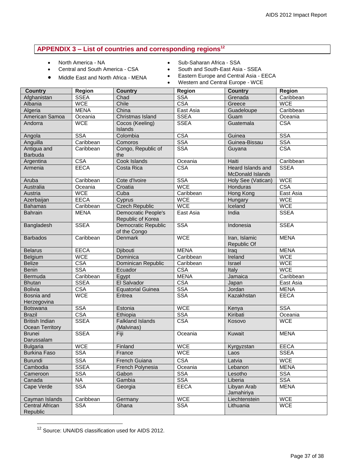#### <span id="page-36-0"></span>**APPENDIX 3 – List of countries and corresponding regions 12**

North America - NA

- Sub-Saharan Africa SSA
- Central and South America CSA
- Middle East and North Africa MENA
- South and South-East Asia SSEA
- Eastern Europe and Central Asia EECA
- Western and Central Europe WCE

| <b>Country</b>                           | <b>Region</b> | <b>Country</b>                                  | <b>Region</b> | Country                                             | Region      |
|------------------------------------------|---------------|-------------------------------------------------|---------------|-----------------------------------------------------|-------------|
| Afghanistan                              | <b>SSEA</b>   | Chad                                            | <b>SSA</b>    | Grenada                                             | Caribbean   |
| Albania                                  | <b>WCE</b>    | Chile                                           | <b>CSA</b>    | Greece                                              | <b>WCE</b>  |
| Algeria                                  | <b>MENA</b>   | China                                           | East Asia     | Guadeloupe                                          | Caribbean   |
| American Samoa                           | Oceania       | Christmas Island                                | <b>SSEA</b>   | Guam                                                | Oceania     |
| Andorra                                  | <b>WCE</b>    | Cocos (Keeling)<br>Islands                      | <b>SSEA</b>   | Guatemala                                           | <b>CSA</b>  |
| Angola                                   | <b>SSA</b>    | Colombia                                        | <b>CSA</b>    | Guinea                                              | <b>SSA</b>  |
| Anguilla                                 | Caribbean     | Comoros                                         | <b>SSA</b>    | Guinea-Bissau                                       | <b>SSA</b>  |
| Antigua and<br>Barbuda                   | Caribbean     | Congo, Republic of<br>the                       | <b>SSA</b>    | Guyana                                              | <b>CSA</b>  |
| Argentina                                | <b>CSA</b>    | Cook Islands                                    | Oceania       | Haiti                                               | Caribbean   |
| Armenia                                  | <b>EECA</b>   | Costa Rica                                      | <b>CSA</b>    | <b>Heard Islands and</b><br><b>McDonald Islands</b> | <b>SSEA</b> |
| Aruba                                    | Caribbean     | Cote d'Ivoire                                   | <b>SSA</b>    | Holy See (Vatican)                                  | <b>WCE</b>  |
| Australia                                | Oceania       | Croatia                                         | <b>WCE</b>    | Honduras                                            | <b>CSA</b>  |
| Austria                                  | <b>WCE</b>    | Cuba                                            | Caribbean     | Hong Kong                                           | East Asia   |
| Azerbaijan                               | <b>EECA</b>   | Cyprus                                          | <b>WCE</b>    | Hungary                                             | <b>WCE</b>  |
| <b>Bahamas</b>                           | Caribbean     | <b>Czech Republic</b>                           | <b>WCE</b>    | Iceland                                             | <b>WCE</b>  |
| <b>Bahrain</b>                           | <b>MENA</b>   | <b>Democratic People's</b><br>Republic of Korea | East Asia     | India                                               | <b>SSEA</b> |
| Bangladesh                               | <b>SSEA</b>   | Democratic Republic<br>of the Congo             | <b>SSA</b>    | Indonesia                                           | <b>SSEA</b> |
| <b>Barbados</b>                          | Caribbean     | <b>Denmark</b>                                  | <b>WCE</b>    | Iran, Islamic<br>Republic Of                        | <b>MENA</b> |
| <b>Belarus</b>                           | <b>EECA</b>   | Djibouti                                        | <b>MENA</b>   | Iraq                                                | <b>MENA</b> |
| Belgium                                  | <b>WCE</b>    | <b>Dominica</b>                                 | Caribbean     | Ireland                                             | <b>WCE</b>  |
| <b>Belize</b>                            | <b>CSA</b>    | Dominican Republic                              | Caribbean     | Israel                                              | <b>WCE</b>  |
| <b>Benin</b>                             | <b>SSA</b>    | Ecuador                                         | CSA           | Italy                                               | <b>WCE</b>  |
| Bermuda                                  | Caribbean     | Egypt                                           | <b>MENA</b>   | Jamaica                                             | Caribbean   |
| <b>Bhutan</b>                            | <b>SSEA</b>   | El Salvador                                     | <b>CSA</b>    | Japan                                               | East Asia   |
| <b>Bolivia</b>                           | <b>CSA</b>    | <b>Equatorial Guinea</b>                        | <b>SSA</b>    | Jordan                                              | <b>MENA</b> |
| Bosnia and<br>Herzegovina                | <b>WCE</b>    | Eritrea                                         | <b>SSA</b>    | Kazakhstan                                          | <b>EECA</b> |
| <b>Botswana</b>                          | <b>SSA</b>    | Estonia                                         | <b>WCE</b>    | Kenya                                               | <b>SSA</b>  |
| <b>Brazil</b>                            | <b>CSA</b>    | Ethiopia                                        | <b>SSA</b>    | Kiribati                                            | Oceania     |
| <b>British Indian</b><br>Ocean Territory | <b>SSEA</b>   | <b>Falkland Islands</b><br>(Malvinas)           | <b>CSA</b>    | Kosovo                                              | <b>WCE</b>  |
| <b>Brunei</b><br>Darussalam              | <b>SSEA</b>   | Fiji                                            | Oceania       | Kuwait                                              | <b>MENA</b> |
| <b>Bulgaria</b>                          | <b>WCE</b>    | Finland                                         | <b>WCE</b>    | Kyrgyzstan                                          | <b>EECA</b> |
| <b>Burkina Faso</b>                      | <b>SSA</b>    | France                                          | <b>WCE</b>    | Laos                                                | <b>SSEA</b> |
| Burundi                                  | <b>SSA</b>    | French Guiana                                   | <b>CSA</b>    | Latvia                                              | <b>WCE</b>  |
| Cambodia                                 | <b>SSEA</b>   | French Polynesia                                | Oceania       | Lebanon                                             | <b>MENA</b> |
| Cameroon                                 | <b>SSA</b>    | Gabon                                           | <b>SSA</b>    | Lesotho                                             | <b>SSA</b>  |
| Canada                                   | <b>NA</b>     | Gambia                                          | <b>SSA</b>    | Liberia                                             | <b>SSA</b>  |
| Cape Verde                               | <b>SSA</b>    | Georgia                                         | <b>EECA</b>   | Libyan Arab<br>Jamahiriya                           | <b>MENA</b> |
| Cayman Islands                           | Caribbean     | Germany                                         | <b>WCE</b>    | Liechtenstein                                       | <b>WCE</b>  |
| Central African<br>Republic              | <b>SSA</b>    | Ghana                                           | <b>SSA</b>    | Lithuania                                           | <b>WCE</b>  |

<sup>&</sup>lt;sup>12</sup> Source: UNAIDS classification used for AIDS 2012.

 $\overline{a}$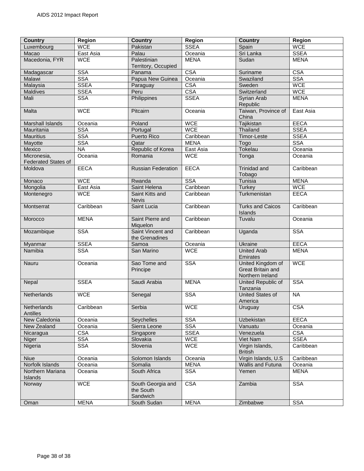| <b>Country</b>              | <b>Region</b> | <b>Country</b>                             | <b>Region</b> | <b>Country</b>                        | <b>Region</b> |
|-----------------------------|---------------|--------------------------------------------|---------------|---------------------------------------|---------------|
| Luxembourg                  | <b>WCE</b>    | Pakistan                                   | <b>SSEA</b>   | Spain                                 | <b>WCE</b>    |
| Macao                       | East Asia     | Palau                                      | Oceania       | Sri Lanka                             | <b>SSEA</b>   |
| Macedonia, FYR              | <b>WCE</b>    | Palestinian                                | <b>MENA</b>   | Sudan                                 | <b>MENA</b>   |
|                             |               | Territory, Occupied                        |               |                                       |               |
| Madagascar                  | <b>SSA</b>    | Panama                                     | <b>CSA</b>    | Suriname                              | <b>CSA</b>    |
| Malawi                      | <b>SSA</b>    | Papua New Guinea                           | Oceania       | Swaziland                             | <b>SSA</b>    |
| Malaysia                    | <b>SSEA</b>   | Paraguay                                   | <b>CSA</b>    | Sweden                                | <b>WCE</b>    |
| Maldives                    | <b>SSEA</b>   | Peru                                       | <b>CSA</b>    | Switzerland                           | <b>WCE</b>    |
| Mali                        | <b>SSA</b>    | Philippines                                | <b>SSEA</b>   | Syrian Arab<br>Republic               | <b>MENA</b>   |
| Malta                       | <b>WCE</b>    | Pitcairn                                   | Oceania       | Taiwan, Province of<br>China          | East Asia     |
| Marshall Islands            | Oceania       | Poland                                     | <b>WCE</b>    | Tajikistan                            | <b>EECA</b>   |
| Mauritania                  | <b>SSA</b>    | Portugal                                   | <b>WCE</b>    | Thailand                              | <b>SSEA</b>   |
| <b>Mauritius</b>            | <b>SSA</b>    | <b>Puerto Rico</b>                         | Caribbean     | Timor-Leste                           | <b>SSEA</b>   |
| Mayotte                     | <b>SSA</b>    | Qatar                                      | <b>MENA</b>   | Togo                                  | <b>SSA</b>    |
| Mexico                      | <b>NA</b>     | Republic of Korea                          | East Asia     | Tokelau                               | Oceania       |
| Micronesia,                 | Oceania       | Romania                                    | <b>WCE</b>    | Tonga                                 | Oceania       |
| <b>Federated States of</b>  |               |                                            |               |                                       |               |
| Moldova                     | <b>EECA</b>   | <b>Russian Federation</b>                  | <b>EECA</b>   | Trinidad and<br>Tobago                | Caribbean     |
| Monaco                      | <b>WCE</b>    | Rwanda                                     | <b>SSA</b>    | Tunisia                               | <b>MENA</b>   |
| Mongolia                    | East Asia     | Saint Helena                               | Caribbean     | Turkey                                | <b>WCE</b>    |
| Montenegro                  | <b>WCE</b>    | Saint Kitts and<br><b>Nevis</b>            | Caribbean     | Turkmenistan                          | <b>EECA</b>   |
| Montserrat                  | Caribbean     | Saint Lucia                                | Caribbean     | <b>Turks and Caicos</b><br>Islands    | Caribbean     |
| Morocco                     | <b>MENA</b>   | Saint Pierre and<br>Miquelon               | Caribbean     | Tuvalu                                | Oceania       |
| Mozambique                  | <b>SSA</b>    | Saint Vincent and<br>the Grenadines        | Caribbean     | Uganda                                | <b>SSA</b>    |
| Myanmar                     | <b>SSEA</b>   | Samoa                                      | Oceania       | Ukraine                               | <b>EECA</b>   |
| Namibia                     | <b>SSA</b>    | San Marino                                 | <b>WCE</b>    | <b>United Arab</b><br>Emirates        | <b>MENA</b>   |
| Nauru                       | Oceania       | Sao Tome and                               | <b>SSA</b>    | United Kingdom of                     | <b>WCE</b>    |
|                             |               | Principe                                   |               | Great Britain and<br>Northern Ireland |               |
| Nepal                       | <b>SSEA</b>   | Saudi Arabia                               | <b>MENA</b>   | <b>United Republic of</b>             | <b>SSA</b>    |
|                             |               |                                            |               | Tanzania                              |               |
| Netherlands                 | <b>WCE</b>    | Senegal                                    | <b>SSA</b>    | <b>United States of</b><br>America    | <b>NA</b>     |
| Netherlands<br>Antilles     | Caribbean     | Serbia                                     | <b>WCE</b>    | Uruguay                               | <b>CSA</b>    |
| New Caledonia               | Oceania       | Seychelles                                 | <b>SSA</b>    | Uzbekistan                            | <b>EECA</b>   |
| New Zealand                 | Oceania       | Sierra Leone                               | <b>SSA</b>    | Vanuatu                               | Oceania       |
| Nicaragua                   | <b>CSA</b>    | Singapore                                  | <b>SSEA</b>   | Venezuela                             | <b>CSA</b>    |
| Niger                       | <b>SSA</b>    | Slovakia                                   | <b>WCE</b>    | Viet Nam                              | <b>SSEA</b>   |
| Nigeria                     | <b>SSA</b>    | Slovenia                                   | <b>WCE</b>    | Virgin Islands,                       | Caribbean     |
|                             |               |                                            |               | <b>British</b>                        |               |
| <b>Niue</b>                 | Oceania       | Solomon Islands                            | Oceania       | Virgin Islands, U.S.                  | Caribbean     |
| Norfolk Islands             | Oceania       | Somalia                                    | <b>MENA</b>   | Wallis and Futuna                     | Oceania       |
| Northern Mariana<br>Islands | Oceania       | South Africa                               | <b>SSA</b>    | Yemen                                 | <b>MENA</b>   |
| Norway                      | <b>WCE</b>    | South Georgia and<br>the South<br>Sandwich | <b>CSA</b>    | Zambia                                | <b>SSA</b>    |
| Oman                        | <b>MENA</b>   | South Sudan                                | <b>MENA</b>   | Zimbabwe                              | <b>SSA</b>    |